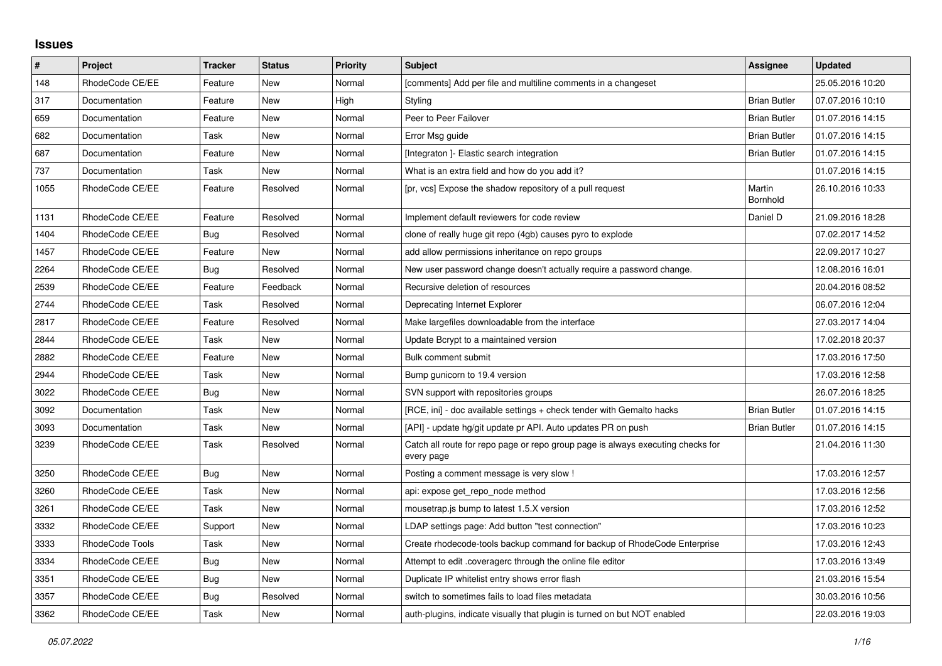## **Issues**

| $\vert$ # | Project         | Tracker    | <b>Status</b> | <b>Priority</b> | <b>Subject</b>                                                                                | Assignee            | <b>Updated</b>   |
|-----------|-----------------|------------|---------------|-----------------|-----------------------------------------------------------------------------------------------|---------------------|------------------|
| 148       | RhodeCode CE/EE | Feature    | New           | Normal          | [comments] Add per file and multiline comments in a changeset                                 |                     | 25.05.2016 10:20 |
| 317       | Documentation   | Feature    | <b>New</b>    | High            | Styling                                                                                       | <b>Brian Butler</b> | 07.07.2016 10:10 |
| 659       | Documentation   | Feature    | New           | Normal          | Peer to Peer Failover                                                                         | <b>Brian Butler</b> | 01.07.2016 14:15 |
| 682       | Documentation   | Task       | New           | Normal          | Error Msg guide                                                                               | <b>Brian Butler</b> | 01.07.2016 14:15 |
| 687       | Documentation   | Feature    | <b>New</b>    | Normal          | [Integraton] - Elastic search integration                                                     | <b>Brian Butler</b> | 01.07.2016 14:15 |
| 737       | Documentation   | Task       | New           | Normal          | What is an extra field and how do you add it?                                                 |                     | 01.07.2016 14:15 |
| 1055      | RhodeCode CE/EE | Feature    | Resolved      | Normal          | [pr, vcs] Expose the shadow repository of a pull request                                      | Martin<br>Bornhold  | 26.10.2016 10:33 |
| 1131      | RhodeCode CE/EE | Feature    | Resolved      | Normal          | Implement default reviewers for code review                                                   | Daniel D            | 21.09.2016 18:28 |
| 1404      | RhodeCode CE/EE | <b>Bug</b> | Resolved      | Normal          | clone of really huge git repo (4gb) causes pyro to explode                                    |                     | 07.02.2017 14:52 |
| 1457      | RhodeCode CE/EE | Feature    | New           | Normal          | add allow permissions inheritance on repo groups                                              |                     | 22.09.2017 10:27 |
| 2264      | RhodeCode CE/EE | Bug        | Resolved      | Normal          | New user password change doesn't actually require a password change.                          |                     | 12.08.2016 16:01 |
| 2539      | RhodeCode CE/EE | Feature    | Feedback      | Normal          | Recursive deletion of resources                                                               |                     | 20.04.2016 08:52 |
| 2744      | RhodeCode CE/EE | Task       | Resolved      | Normal          | Deprecating Internet Explorer                                                                 |                     | 06.07.2016 12:04 |
| 2817      | RhodeCode CE/EE | Feature    | Resolved      | Normal          | Make largefiles downloadable from the interface                                               |                     | 27.03.2017 14:04 |
| 2844      | RhodeCode CE/EE | Task       | New           | Normal          | Update Bcrypt to a maintained version                                                         |                     | 17.02.2018 20:37 |
| 2882      | RhodeCode CE/EE | Feature    | New           | Normal          | Bulk comment submit                                                                           |                     | 17.03.2016 17:50 |
| 2944      | RhodeCode CE/EE | Task       | New           | Normal          | Bump gunicorn to 19.4 version                                                                 |                     | 17.03.2016 12:58 |
| 3022      | RhodeCode CE/EE | <b>Bug</b> | New           | Normal          | SVN support with repositories groups                                                          |                     | 26.07.2016 18:25 |
| 3092      | Documentation   | Task       | New           | Normal          | [RCE, ini] - doc available settings + check tender with Gemalto hacks                         | <b>Brian Butler</b> | 01.07.2016 14:15 |
| 3093      | Documentation   | Task       | New           | Normal          | [API] - update hg/git update pr API. Auto updates PR on push                                  | <b>Brian Butler</b> | 01.07.2016 14:15 |
| 3239      | RhodeCode CE/EE | Task       | Resolved      | Normal          | Catch all route for repo page or repo group page is always executing checks for<br>every page |                     | 21.04.2016 11:30 |
| 3250      | RhodeCode CE/EE | <b>Bug</b> | New           | Normal          | Posting a comment message is very slow!                                                       |                     | 17.03.2016 12:57 |
| 3260      | RhodeCode CE/EE | Task       | New           | Normal          | api: expose get repo node method                                                              |                     | 17.03.2016 12:56 |
| 3261      | RhodeCode CE/EE | Task       | New           | Normal          | mousetrap.js bump to latest 1.5.X version                                                     |                     | 17.03.2016 12:52 |
| 3332      | RhodeCode CE/EE | Support    | New           | Normal          | LDAP settings page: Add button "test connection"                                              |                     | 17.03.2016 10:23 |
| 3333      | RhodeCode Tools | Task       | New           | Normal          | Create rhodecode-tools backup command for backup of RhodeCode Enterprise                      |                     | 17.03.2016 12:43 |
| 3334      | RhodeCode CE/EE | <b>Bug</b> | New           | Normal          | Attempt to edit .coveragerc through the online file editor                                    |                     | 17.03.2016 13:49 |
| 3351      | RhodeCode CE/EE | <b>Bug</b> | New           | Normal          | Duplicate IP whitelist entry shows error flash                                                |                     | 21.03.2016 15:54 |
| 3357      | RhodeCode CE/EE | <b>Bug</b> | Resolved      | Normal          | switch to sometimes fails to load files metadata                                              |                     | 30.03.2016 10:56 |
| 3362      | RhodeCode CE/EE | Task       | New           | Normal          | auth-plugins, indicate visually that plugin is turned on but NOT enabled                      |                     | 22.03.2016 19:03 |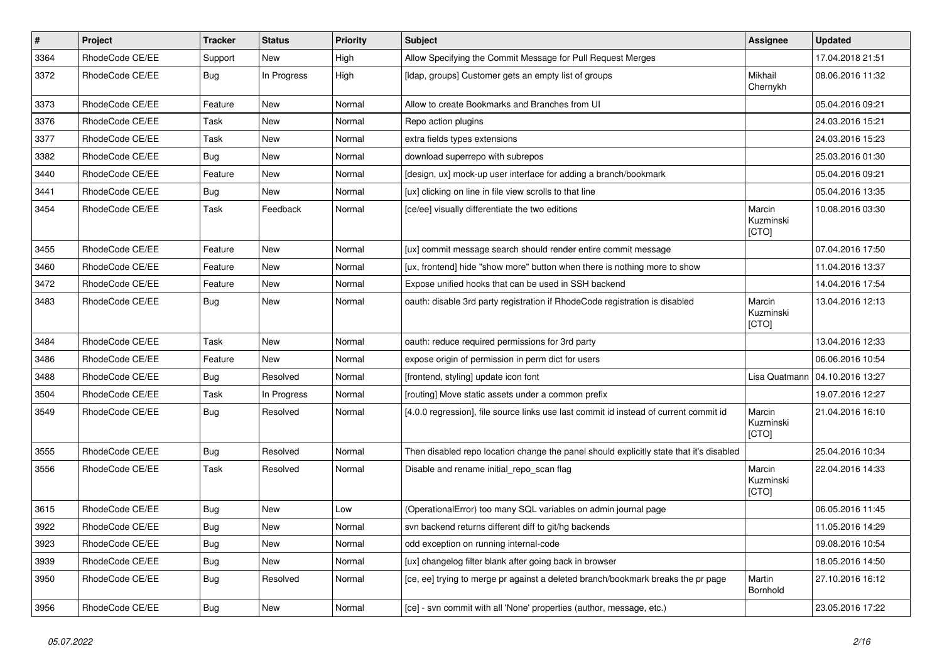| $\vert$ # | Project         | <b>Tracker</b> | <b>Status</b> | <b>Priority</b> | <b>Subject</b>                                                                          | <b>Assignee</b>              | <b>Updated</b>   |
|-----------|-----------------|----------------|---------------|-----------------|-----------------------------------------------------------------------------------------|------------------------------|------------------|
| 3364      | RhodeCode CE/EE | Support        | New           | High            | Allow Specifying the Commit Message for Pull Request Merges                             |                              | 17.04.2018 21:51 |
| 3372      | RhodeCode CE/EE | Bug            | In Progress   | High            | [Idap, groups] Customer gets an empty list of groups                                    | Mikhail<br>Chernykh          | 08.06.2016 11:32 |
| 3373      | RhodeCode CE/EE | Feature        | <b>New</b>    | Normal          | Allow to create Bookmarks and Branches from UI                                          |                              | 05.04.2016 09:21 |
| 3376      | RhodeCode CE/EE | Task           | <b>New</b>    | Normal          | Repo action plugins                                                                     |                              | 24.03.2016 15:21 |
| 3377      | RhodeCode CE/EE | Task           | New           | Normal          | extra fields types extensions                                                           |                              | 24.03.2016 15:23 |
| 3382      | RhodeCode CE/EE | Bug            | New           | Normal          | download superrepo with subrepos                                                        |                              | 25.03.2016 01:30 |
| 3440      | RhodeCode CE/EE | Feature        | <b>New</b>    | Normal          | [design, ux] mock-up user interface for adding a branch/bookmark                        |                              | 05.04.2016 09:21 |
| 3441      | RhodeCode CE/EE | Bug            | New           | Normal          | [ux] clicking on line in file view scrolls to that line                                 |                              | 05.04.2016 13:35 |
| 3454      | RhodeCode CE/EE | Task           | Feedback      | Normal          | [ce/ee] visually differentiate the two editions                                         | Marcin<br>Kuzminski<br>[CTO] | 10.08.2016 03:30 |
| 3455      | RhodeCode CE/EE | Feature        | <b>New</b>    | Normal          | [ux] commit message search should render entire commit message                          |                              | 07.04.2016 17:50 |
| 3460      | RhodeCode CE/EE | Feature        | New           | Normal          | [ux, frontend] hide "show more" button when there is nothing more to show               |                              | 11.04.2016 13:37 |
| 3472      | RhodeCode CE/EE | Feature        | New           | Normal          | Expose unified hooks that can be used in SSH backend                                    |                              | 14.04.2016 17:54 |
| 3483      | RhodeCode CE/EE | Bug            | <b>New</b>    | Normal          | oauth: disable 3rd party registration if RhodeCode registration is disabled             | Marcin<br>Kuzminski<br>[CTO] | 13.04.2016 12:13 |
| 3484      | RhodeCode CE/EE | Task           | <b>New</b>    | Normal          | oauth: reduce required permissions for 3rd party                                        |                              | 13.04.2016 12:33 |
| 3486      | RhodeCode CE/EE | Feature        | <b>New</b>    | Normal          | expose origin of permission in perm dict for users                                      |                              | 06.06.2016 10:54 |
| 3488      | RhodeCode CE/EE | Bug            | Resolved      | Normal          | [frontend, styling] update icon font                                                    | Lisa Quatmann                | 04.10.2016 13:27 |
| 3504      | RhodeCode CE/EE | Task           | In Progress   | Normal          | [routing] Move static assets under a common prefix                                      |                              | 19.07.2016 12:27 |
| 3549      | RhodeCode CE/EE | Bug            | Resolved      | Normal          | [4.0.0 regression], file source links use last commit id instead of current commit id   | Marcin<br>Kuzminski<br>[CTO] | 21.04.2016 16:10 |
| 3555      | RhodeCode CE/EE | Bug            | Resolved      | Normal          | Then disabled repo location change the panel should explicitly state that it's disabled |                              | 25.04.2016 10:34 |
| 3556      | RhodeCode CE/EE | Task           | Resolved      | Normal          | Disable and rename initial_repo_scan flag                                               | Marcin<br>Kuzminski<br>[CTO] | 22.04.2016 14:33 |
| 3615      | RhodeCode CE/EE | Bug            | New           | Low             | (OperationalError) too many SQL variables on admin journal page                         |                              | 06.05.2016 11:45 |
| 3922      | RhodeCode CE/EE | Bug            | New           | Normal          | svn backend returns different diff to git/hg backends                                   |                              | 11.05.2016 14:29 |
| 3923      | RhodeCode CE/EE | Bug            | New           | Normal          | odd exception on running internal-code                                                  |                              | 09.08.2016 10:54 |
| 3939      | RhodeCode CE/EE | <b>Bug</b>     | New           | Normal          | [ux] changelog filter blank after going back in browser                                 |                              | 18.05.2016 14:50 |
| 3950      | RhodeCode CE/EE | Bug            | Resolved      | Normal          | [ce, ee] trying to merge pr against a deleted branch/bookmark breaks the pr page        | Martin<br>Bornhold           | 27.10.2016 16:12 |
| 3956      | RhodeCode CE/EE | Bug            | New           | Normal          | [ce] - svn commit with all 'None' properties (author, message, etc.)                    |                              | 23.05.2016 17:22 |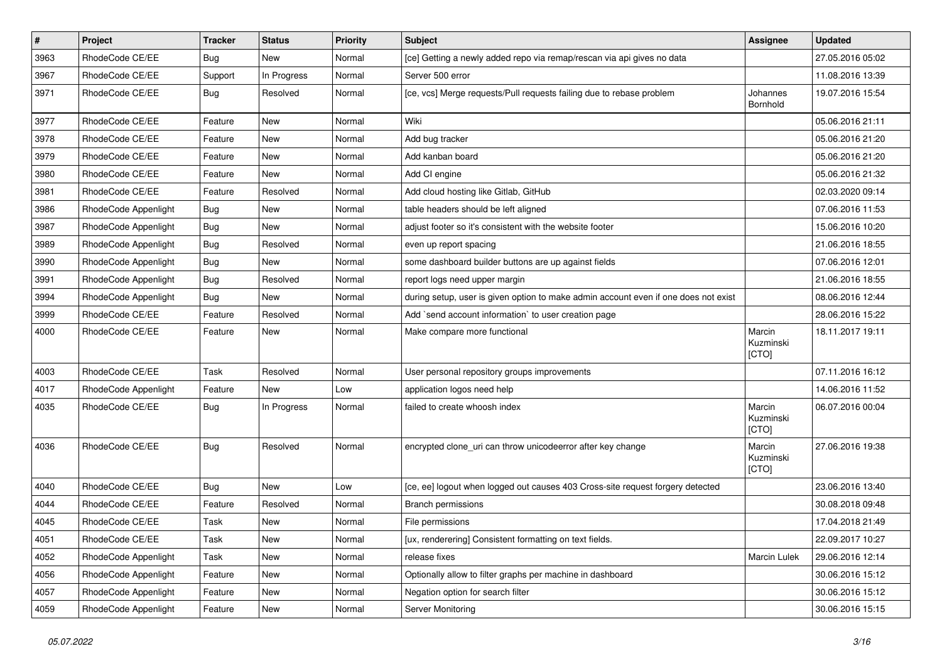| $\pmb{\#}$ | Project              | <b>Tracker</b> | <b>Status</b> | <b>Priority</b> | <b>Subject</b>                                                                      | Assignee                     | <b>Updated</b>   |
|------------|----------------------|----------------|---------------|-----------------|-------------------------------------------------------------------------------------|------------------------------|------------------|
| 3963       | RhodeCode CE/EE      | <b>Bug</b>     | <b>New</b>    | Normal          | [ce] Getting a newly added repo via remap/rescan via api gives no data              |                              | 27.05.2016 05:02 |
| 3967       | RhodeCode CE/EE      | Support        | In Progress   | Normal          | Server 500 error                                                                    |                              | 11.08.2016 13:39 |
| 3971       | RhodeCode CE/EE      | Bug            | Resolved      | Normal          | [ce, vcs] Merge requests/Pull requests failing due to rebase problem                | Johannes<br>Bornhold         | 19.07.2016 15:54 |
| 3977       | RhodeCode CE/EE      | Feature        | New           | Normal          | Wiki                                                                                |                              | 05.06.2016 21:11 |
| 3978       | RhodeCode CE/EE      | Feature        | New           | Normal          | Add bug tracker                                                                     |                              | 05.06.2016 21:20 |
| 3979       | RhodeCode CE/EE      | Feature        | <b>New</b>    | Normal          | Add kanban board                                                                    |                              | 05.06.2016 21:20 |
| 3980       | RhodeCode CE/EE      | Feature        | <b>New</b>    | Normal          | Add CI engine                                                                       |                              | 05.06.2016 21:32 |
| 3981       | RhodeCode CE/EE      | Feature        | Resolved      | Normal          | Add cloud hosting like Gitlab, GitHub                                               |                              | 02.03.2020 09:14 |
| 3986       | RhodeCode Appenlight | Bug            | <b>New</b>    | Normal          | table headers should be left aligned                                                |                              | 07.06.2016 11:53 |
| 3987       | RhodeCode Appenlight | Bug            | New           | Normal          | adjust footer so it's consistent with the website footer                            |                              | 15.06.2016 10:20 |
| 3989       | RhodeCode Appenlight | Bug            | Resolved      | Normal          | even up report spacing                                                              |                              | 21.06.2016 18:55 |
| 3990       | RhodeCode Appenlight | <b>Bug</b>     | New           | Normal          | some dashboard builder buttons are up against fields                                |                              | 07.06.2016 12:01 |
| 3991       | RhodeCode Appenlight | Bug            | Resolved      | Normal          | report logs need upper margin                                                       |                              | 21.06.2016 18:55 |
| 3994       | RhodeCode Appenlight | Bug            | New           | Normal          | during setup, user is given option to make admin account even if one does not exist |                              | 08.06.2016 12:44 |
| 3999       | RhodeCode CE/EE      | Feature        | Resolved      | Normal          | Add `send account information` to user creation page                                |                              | 28.06.2016 15:22 |
| 4000       | RhodeCode CE/EE      | Feature        | New           | Normal          | Make compare more functional                                                        | Marcin<br>Kuzminski<br>[CTO] | 18.11.2017 19:11 |
| 4003       | RhodeCode CE/EE      | Task           | Resolved      | Normal          | User personal repository groups improvements                                        |                              | 07.11.2016 16:12 |
| 4017       | RhodeCode Appenlight | Feature        | <b>New</b>    | Low             | application logos need help                                                         |                              | 14.06.2016 11:52 |
| 4035       | RhodeCode CE/EE      | Bug            | In Progress   | Normal          | failed to create whoosh index                                                       | Marcin<br>Kuzminski<br>[CTO] | 06.07.2016 00:04 |
| 4036       | RhodeCode CE/EE      | Bug            | Resolved      | Normal          | encrypted clone_uri can throw unicodeerror after key change                         | Marcin<br>Kuzminski<br>[CTO] | 27.06.2016 19:38 |
| 4040       | RhodeCode CE/EE      | Bug            | <b>New</b>    | Low             | [ce, ee] logout when logged out causes 403 Cross-site request forgery detected      |                              | 23.06.2016 13:40 |
| 4044       | RhodeCode CE/EE      | Feature        | Resolved      | Normal          | <b>Branch permissions</b>                                                           |                              | 30.08.2018 09:48 |
| 4045       | RhodeCode CE/EE      | Task           | New           | Normal          | File permissions                                                                    |                              | 17.04.2018 21:49 |
| 4051       | RhodeCode CE/EE      | Task           | New           | Normal          | [ux, renderering] Consistent formatting on text fields.                             |                              | 22.09.2017 10:27 |
| 4052       | RhodeCode Appenlight | Task           | New           | Normal          | release fixes                                                                       | Marcin Lulek                 | 29.06.2016 12:14 |
| 4056       | RhodeCode Appenlight | Feature        | New           | Normal          | Optionally allow to filter graphs per machine in dashboard                          |                              | 30.06.2016 15:12 |
| 4057       | RhodeCode Appenlight | Feature        | New           | Normal          | Negation option for search filter                                                   |                              | 30.06.2016 15:12 |
| 4059       | RhodeCode Appenlight | Feature        | New           | Normal          | Server Monitoring                                                                   |                              | 30.06.2016 15:15 |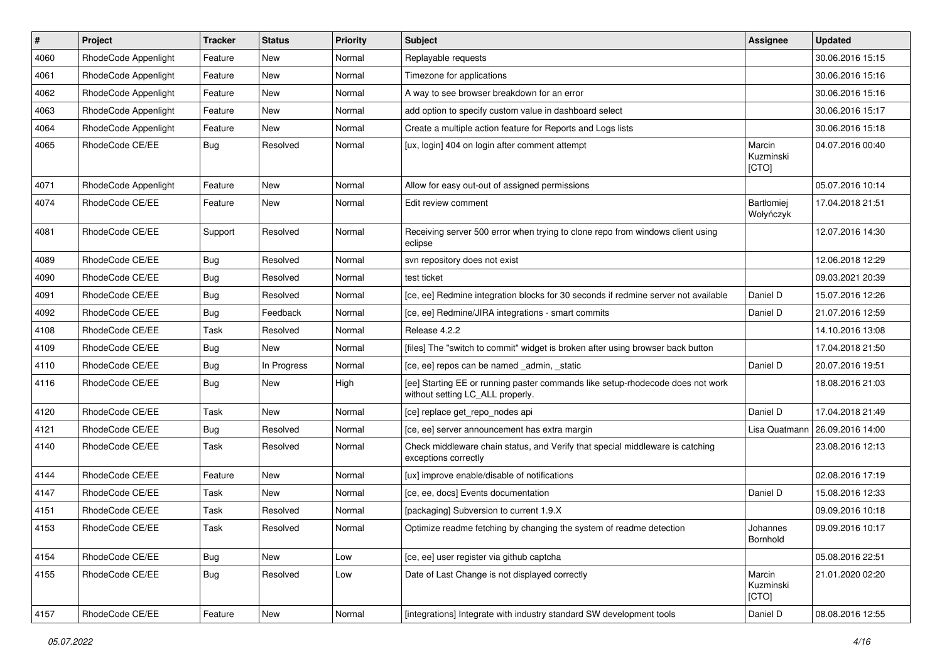| $\vert$ # | Project              | <b>Tracker</b> | <b>Status</b> | <b>Priority</b> | <b>Subject</b>                                                                                                     | <b>Assignee</b>                | <b>Updated</b>   |
|-----------|----------------------|----------------|---------------|-----------------|--------------------------------------------------------------------------------------------------------------------|--------------------------------|------------------|
| 4060      | RhodeCode Appenlight | Feature        | New           | Normal          | Replayable requests                                                                                                |                                | 30.06.2016 15:15 |
| 4061      | RhodeCode Appenlight | Feature        | <b>New</b>    | Normal          | Timezone for applications                                                                                          |                                | 30.06.2016 15:16 |
| 4062      | RhodeCode Appenlight | Feature        | New           | Normal          | A way to see browser breakdown for an error                                                                        |                                | 30.06.2016 15:16 |
| 4063      | RhodeCode Appenlight | Feature        | New           | Normal          | add option to specify custom value in dashboard select                                                             |                                | 30.06.2016 15:17 |
| 4064      | RhodeCode Appenlight | Feature        | New           | Normal          | Create a multiple action feature for Reports and Logs lists                                                        |                                | 30.06.2016 15:18 |
| 4065      | RhodeCode CE/EE      | Bug            | Resolved      | Normal          | [ux, login] 404 on login after comment attempt                                                                     | Marcin<br>Kuzminski<br>[CTO]   | 04.07.2016 00:40 |
| 4071      | RhodeCode Appenlight | Feature        | New           | Normal          | Allow for easy out-out of assigned permissions                                                                     |                                | 05.07.2016 10:14 |
| 4074      | RhodeCode CE/EE      | Feature        | New           | Normal          | Edit review comment                                                                                                | <b>Bartłomiei</b><br>Wołyńczyk | 17.04.2018 21:51 |
| 4081      | RhodeCode CE/EE      | Support        | Resolved      | Normal          | Receiving server 500 error when trying to clone repo from windows client using<br>eclipse                          |                                | 12.07.2016 14:30 |
| 4089      | RhodeCode CE/EE      | <b>Bug</b>     | Resolved      | Normal          | syn repository does not exist                                                                                      |                                | 12.06.2018 12:29 |
| 4090      | RhodeCode CE/EE      | Bug            | Resolved      | Normal          | test ticket                                                                                                        |                                | 09.03.2021 20:39 |
| 4091      | RhodeCode CE/EE      | Bug            | Resolved      | Normal          | [ce, ee] Redmine integration blocks for 30 seconds if redmine server not available                                 | Daniel D                       | 15.07.2016 12:26 |
| 4092      | RhodeCode CE/EE      | <b>Bug</b>     | Feedback      | Normal          | [ce, ee] Redmine/JIRA integrations - smart commits                                                                 | Daniel D                       | 21.07.2016 12:59 |
| 4108      | RhodeCode CE/EE      | Task           | Resolved      | Normal          | Release 4.2.2                                                                                                      |                                | 14.10.2016 13:08 |
| 4109      | RhodeCode CE/EE      | Bug            | New           | Normal          | [files] The "switch to commit" widget is broken after using browser back button                                    |                                | 17.04.2018 21:50 |
| 4110      | RhodeCode CE/EE      | Bug            | In Progress   | Normal          | [ce, ee] repos can be named _admin, _static                                                                        | Daniel D                       | 20.07.2016 19:51 |
| 4116      | RhodeCode CE/EE      | <b>Bug</b>     | New           | High            | [ee] Starting EE or running paster commands like setup-rhodecode does not work<br>without setting LC_ALL properly. |                                | 18.08.2016 21:03 |
| 4120      | RhodeCode CE/EE      | Task           | New           | Normal          | [ce] replace get_repo_nodes api                                                                                    | Daniel D                       | 17.04.2018 21:49 |
| 4121      | RhodeCode CE/EE      | Bug            | Resolved      | Normal          | [ce, ee] server announcement has extra margin                                                                      | Lisa Quatmann                  | 26.09.2016 14:00 |
| 4140      | RhodeCode CE/EE      | Task           | Resolved      | Normal          | Check middleware chain status, and Verify that special middleware is catching<br>exceptions correctly              |                                | 23.08.2016 12:13 |
| 4144      | RhodeCode CE/EE      | Feature        | New           | Normal          | [ux] improve enable/disable of notifications                                                                       |                                | 02.08.2016 17:19 |
| 4147      | RhodeCode CE/EE      | Task           | New           | Normal          | [ce, ee, docs] Events documentation                                                                                | Daniel D                       | 15.08.2016 12:33 |
| 4151      | RhodeCode CE/EE      | Task           | Resolved      | Normal          | [packaging] Subversion to current 1.9.X                                                                            |                                | 09.09.2016 10:18 |
| 4153      | RhodeCode CE/EE      | Task           | Resolved      | Normal          | Optimize readme fetching by changing the system of readme detection                                                | Johannes<br>Bornhold           | 09.09.2016 10:17 |
| 4154      | RhodeCode CE/EE      | <b>Bug</b>     | New           | Low             | [ce, ee] user register via github captcha                                                                          |                                | 05.08.2016 22:51 |
| 4155      | RhodeCode CE/EE      | Bug            | Resolved      | Low             | Date of Last Change is not displayed correctly                                                                     | Marcin<br>Kuzminski<br>[CTO]   | 21.01.2020 02:20 |
| 4157      | RhodeCode CE/EE      | Feature        | <b>New</b>    | Normal          | [integrations] Integrate with industry standard SW development tools                                               | Daniel D                       | 08.08.2016 12:55 |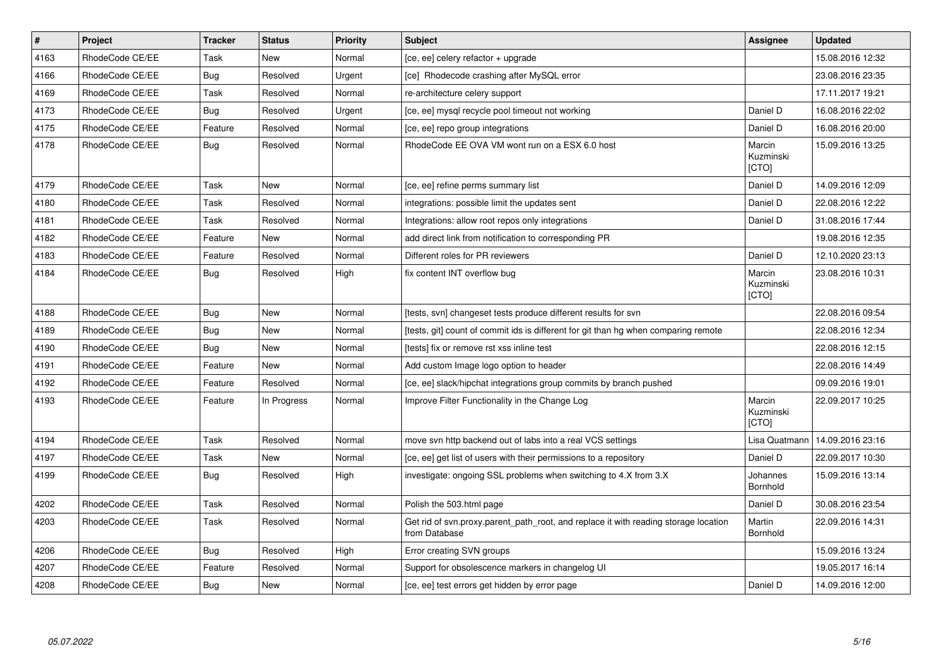| $\vert$ # | Project         | <b>Tracker</b> | <b>Status</b> | <b>Priority</b> | <b>Subject</b>                                                                                       | Assignee                     | <b>Updated</b>   |
|-----------|-----------------|----------------|---------------|-----------------|------------------------------------------------------------------------------------------------------|------------------------------|------------------|
| 4163      | RhodeCode CE/EE | Task           | <b>New</b>    | Normal          | [ce, ee] celery refactor + upgrade                                                                   |                              | 15.08.2016 12:32 |
| 4166      | RhodeCode CE/EE | Bug            | Resolved      | Urgent          | [ce] Rhodecode crashing after MySQL error                                                            |                              | 23.08.2016 23:35 |
| 4169      | RhodeCode CE/EE | Task           | Resolved      | Normal          | re-architecture celery support                                                                       |                              | 17.11.2017 19:21 |
| 4173      | RhodeCode CE/EE | <b>Bug</b>     | Resolved      | Urgent          | [ce, ee] mysql recycle pool timeout not working                                                      | Daniel D                     | 16.08.2016 22:02 |
| 4175      | RhodeCode CE/EE | Feature        | Resolved      | Normal          | [ce, ee] repo group integrations                                                                     | Daniel D                     | 16.08.2016 20:00 |
| 4178      | RhodeCode CE/EE | Bug            | Resolved      | Normal          | RhodeCode EE OVA VM wont run on a ESX 6.0 host                                                       | Marcin<br>Kuzminski<br>[CTO] | 15.09.2016 13:25 |
| 4179      | RhodeCode CE/EE | Task           | New           | Normal          | [ce, ee] refine perms summary list                                                                   | Daniel D                     | 14.09.2016 12:09 |
| 4180      | RhodeCode CE/EE | Task           | Resolved      | Normal          | integrations: possible limit the updates sent                                                        | Daniel D                     | 22.08.2016 12:22 |
| 4181      | RhodeCode CE/EE | Task           | Resolved      | Normal          | Integrations: allow root repos only integrations                                                     | Daniel D                     | 31.08.2016 17:44 |
| 4182      | RhodeCode CE/EE | Feature        | <b>New</b>    | Normal          | add direct link from notification to corresponding PR                                                |                              | 19.08.2016 12:35 |
| 4183      | RhodeCode CE/EE | Feature        | Resolved      | Normal          | Different roles for PR reviewers                                                                     | Daniel D                     | 12.10.2020 23:13 |
| 4184      | RhodeCode CE/EE | Bug            | Resolved      | High            | fix content INT overflow bug                                                                         | Marcin<br>Kuzminski<br>[CTO] | 23.08.2016 10:31 |
| 4188      | RhodeCode CE/EE | Bug            | <b>New</b>    | Normal          | [tests, svn] changeset tests produce different results for svn                                       |                              | 22.08.2016 09:54 |
| 4189      | RhodeCode CE/EE | <b>Bug</b>     | <b>New</b>    | Normal          | [tests, git] count of commit ids is different for git than hg when comparing remote                  |                              | 22.08.2016 12:34 |
| 4190      | RhodeCode CE/EE | <b>Bug</b>     | New           | Normal          | [tests] fix or remove rst xss inline test                                                            |                              | 22.08.2016 12:15 |
| 4191      | RhodeCode CE/EE | Feature        | <b>New</b>    | Normal          | Add custom Image logo option to header                                                               |                              | 22.08.2016 14:49 |
| 4192      | RhodeCode CE/EE | Feature        | Resolved      | Normal          | [ce, ee] slack/hipchat integrations group commits by branch pushed                                   |                              | 09.09.2016 19:01 |
| 4193      | RhodeCode CE/EE | Feature        | In Progress   | Normal          | Improve Filter Functionality in the Change Log                                                       | Marcin<br>Kuzminski<br>[CTO] | 22.09.2017 10:25 |
| 4194      | RhodeCode CE/EE | Task           | Resolved      | Normal          | move svn http backend out of labs into a real VCS settings                                           | Lisa Quatmann                | 14.09.2016 23:16 |
| 4197      | RhodeCode CE/EE | Task           | <b>New</b>    | Normal          | [ce, ee] get list of users with their permissions to a repository                                    | Daniel D                     | 22.09.2017 10:30 |
| 4199      | RhodeCode CE/EE | Bug            | Resolved      | High            | investigate: ongoing SSL problems when switching to 4.X from 3.X                                     | Johannes<br>Bornhold         | 15.09.2016 13:14 |
| 4202      | RhodeCode CE/EE | Task           | Resolved      | Normal          | Polish the 503.html page                                                                             | Daniel D                     | 30.08.2016 23:54 |
| 4203      | RhodeCode CE/EE | Task           | Resolved      | Normal          | Get rid of svn.proxy.parent_path_root, and replace it with reading storage location<br>from Database | Martin<br>Bornhold           | 22.09.2016 14:31 |
| 4206      | RhodeCode CE/EE | Bug            | Resolved      | High            | Error creating SVN groups                                                                            |                              | 15.09.2016 13:24 |
| 4207      | RhodeCode CE/EE | Feature        | Resolved      | Normal          | Support for obsolescence markers in changelog UI                                                     |                              | 19.05.2017 16:14 |
| 4208      | RhodeCode CE/EE | <b>Bug</b>     | New           | Normal          | [ce, ee] test errors get hidden by error page                                                        | Daniel D                     | 14.09.2016 12:00 |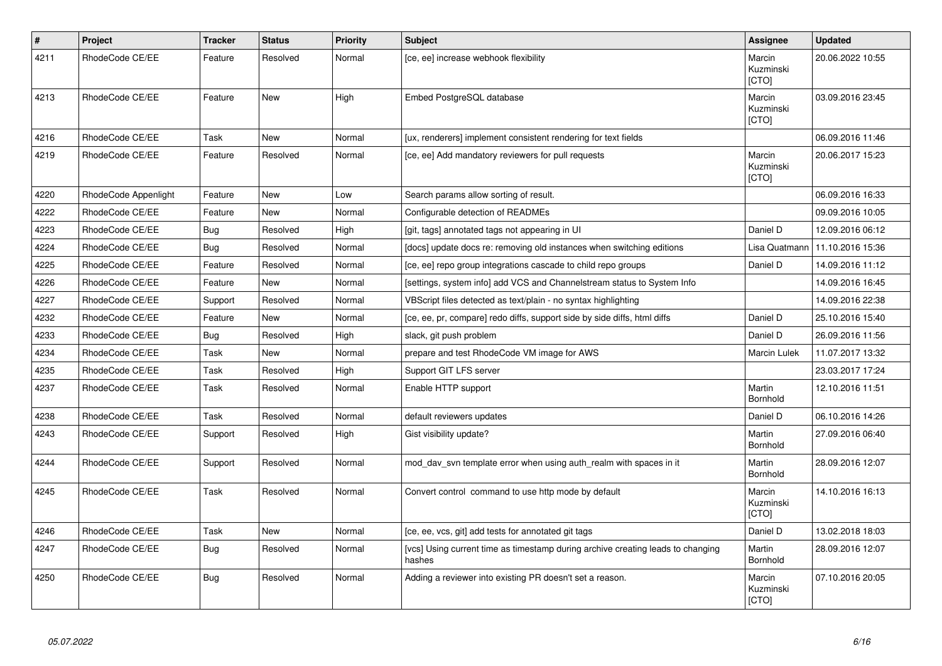| $\sharp$ | Project              | <b>Tracker</b> | <b>Status</b> | <b>Priority</b> | <b>Subject</b>                                                                            | Assignee                            | <b>Updated</b>   |
|----------|----------------------|----------------|---------------|-----------------|-------------------------------------------------------------------------------------------|-------------------------------------|------------------|
| 4211     | RhodeCode CE/EE      | Feature        | Resolved      | Normal          | [ce, ee] increase webhook flexibility                                                     | Marcin<br>Kuzminski<br><b>[CTO]</b> | 20.06.2022 10:55 |
| 4213     | RhodeCode CE/EE      | Feature        | <b>New</b>    | High            | Embed PostgreSQL database                                                                 | Marcin<br>Kuzminski<br>[CTO]        | 03.09.2016 23:45 |
| 4216     | RhodeCode CE/EE      | Task           | <b>New</b>    | Normal          | [ux, renderers] implement consistent rendering for text fields                            |                                     | 06.09.2016 11:46 |
| 4219     | RhodeCode CE/EE      | Feature        | Resolved      | Normal          | [ce, ee] Add mandatory reviewers for pull requests                                        | Marcin<br>Kuzminski<br>[CTO]        | 20.06.2017 15:23 |
| 4220     | RhodeCode Appenlight | Feature        | <b>New</b>    | Low             | Search params allow sorting of result.                                                    |                                     | 06.09.2016 16:33 |
| 4222     | RhodeCode CE/EE      | Feature        | <b>New</b>    | Normal          | Configurable detection of READMEs                                                         |                                     | 09.09.2016 10:05 |
| 4223     | RhodeCode CE/EE      | Bug            | Resolved      | High            | [git, tags] annotated tags not appearing in UI                                            | Daniel D                            | 12.09.2016 06:12 |
| 4224     | RhodeCode CE/EE      | <b>Bug</b>     | Resolved      | Normal          | [docs] update docs re: removing old instances when switching editions                     | Lisa Quatmann                       | 11.10.2016 15:36 |
| 4225     | RhodeCode CE/EE      | Feature        | Resolved      | Normal          | [ce, ee] repo group integrations cascade to child repo groups                             | Daniel D                            | 14.09.2016 11:12 |
| 4226     | RhodeCode CE/EE      | Feature        | New           | Normal          | [settings, system info] add VCS and Channelstream status to System Info                   |                                     | 14.09.2016 16:45 |
| 4227     | RhodeCode CE/EE      | Support        | Resolved      | Normal          | VBScript files detected as text/plain - no syntax highlighting                            |                                     | 14.09.2016 22:38 |
| 4232     | RhodeCode CE/EE      | Feature        | <b>New</b>    | Normal          | [ce, ee, pr, compare] redo diffs, support side by side diffs, html diffs                  | Daniel D                            | 25.10.2016 15:40 |
| 4233     | RhodeCode CE/EE      | Bug            | Resolved      | High            | slack, git push problem                                                                   | Daniel D                            | 26.09.2016 11:56 |
| 4234     | RhodeCode CE/EE      | Task           | <b>New</b>    | Normal          | prepare and test RhodeCode VM image for AWS                                               | Marcin Lulek                        | 11.07.2017 13:32 |
| 4235     | RhodeCode CE/EE      | Task           | Resolved      | High            | Support GIT LFS server                                                                    |                                     | 23.03.2017 17:24 |
| 4237     | RhodeCode CE/EE      | Task           | Resolved      | Normal          | Enable HTTP support                                                                       | Martin<br>Bornhold                  | 12.10.2016 11:51 |
| 4238     | RhodeCode CE/EE      | Task           | Resolved      | Normal          | default reviewers updates                                                                 | Daniel D                            | 06.10.2016 14:26 |
| 4243     | RhodeCode CE/EE      | Support        | Resolved      | High            | Gist visibility update?                                                                   | Martin<br>Bornhold                  | 27.09.2016 06:40 |
| 4244     | RhodeCode CE/EE      | Support        | Resolved      | Normal          | mod day syn template error when using auth realm with spaces in it                        | Martin<br>Bornhold                  | 28.09.2016 12:07 |
| 4245     | RhodeCode CE/EE      | Task           | Resolved      | Normal          | Convert control command to use http mode by default                                       | Marcin<br>Kuzminski<br>[CTO]        | 14.10.2016 16:13 |
| 4246     | RhodeCode CE/EE      | Task           | New           | Normal          | [ce, ee, vcs, git] add tests for annotated git tags                                       | Daniel D                            | 13.02.2018 18:03 |
| 4247     | RhodeCode CE/EE      | <b>Bug</b>     | Resolved      | Normal          | [vcs] Using current time as timestamp during archive creating leads to changing<br>hashes | Martin<br>Bornhold                  | 28.09.2016 12:07 |
| 4250     | RhodeCode CE/EE      | <b>Bug</b>     | Resolved      | Normal          | Adding a reviewer into existing PR doesn't set a reason.                                  | Marcin<br>Kuzminski<br>[CTO]        | 07.10.2016 20:05 |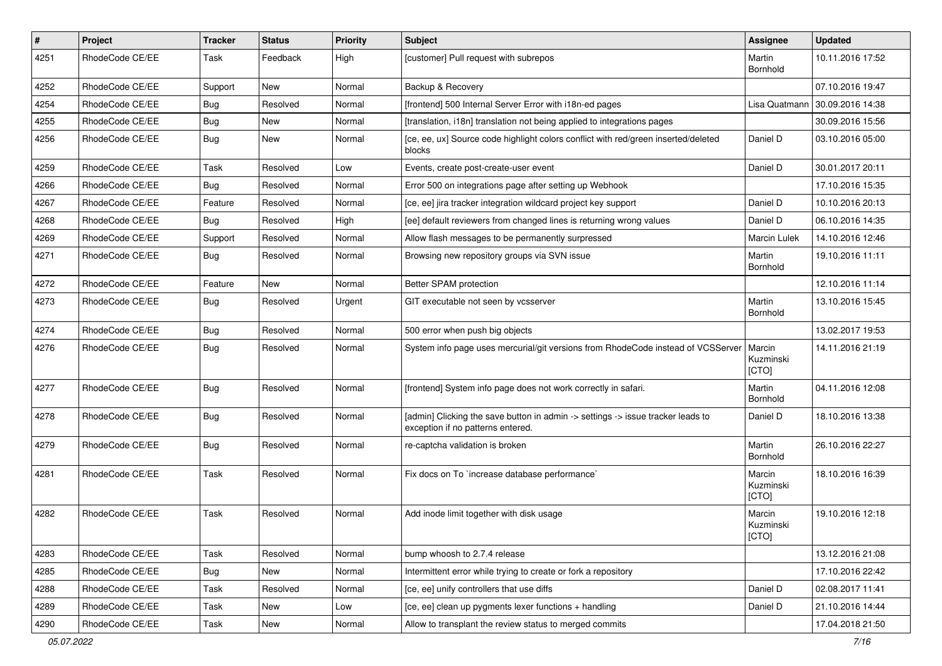| $\pmb{\#}$ | Project         | <b>Tracker</b> | <b>Status</b> | <b>Priority</b> | Subject                                                                                                              | <b>Assignee</b>              | <b>Updated</b>   |
|------------|-----------------|----------------|---------------|-----------------|----------------------------------------------------------------------------------------------------------------------|------------------------------|------------------|
| 4251       | RhodeCode CE/EE | Task           | Feedback      | High            | [customer] Pull request with subrepos                                                                                | Martin<br>Bornhold           | 10.11.2016 17:52 |
| 4252       | RhodeCode CE/EE | Support        | <b>New</b>    | Normal          | Backup & Recovery                                                                                                    |                              | 07.10.2016 19:47 |
| 4254       | RhodeCode CE/EE | Bug            | Resolved      | Normal          | [frontend] 500 Internal Server Error with i18n-ed pages                                                              | Lisa Quatmann                | 30.09.2016 14:38 |
| 4255       | RhodeCode CE/EE | <b>Bug</b>     | New           | Normal          | [translation, i18n] translation not being applied to integrations pages                                              |                              | 30.09.2016 15:56 |
| 4256       | RhodeCode CE/EE | Bug            | New           | Normal          | [ce, ee, ux] Source code highlight colors conflict with red/green inserted/deleted<br>blocks                         | Daniel D                     | 03.10.2016 05:00 |
| 4259       | RhodeCode CE/EE | Task           | Resolved      | Low             | Events, create post-create-user event                                                                                | Daniel D                     | 30.01.2017 20:11 |
| 4266       | RhodeCode CE/EE | <b>Bug</b>     | Resolved      | Normal          | Error 500 on integrations page after setting up Webhook                                                              |                              | 17.10.2016 15:35 |
| 4267       | RhodeCode CE/EE | Feature        | Resolved      | Normal          | [ce, ee] jira tracker integration wildcard project key support                                                       | Daniel D                     | 10.10.2016 20:13 |
| 4268       | RhodeCode CE/EE | <b>Bug</b>     | Resolved      | High            | [ee] default reviewers from changed lines is returning wrong values                                                  | Daniel D                     | 06.10.2016 14:35 |
| 4269       | RhodeCode CE/EE | Support        | Resolved      | Normal          | Allow flash messages to be permanently surpressed                                                                    | Marcin Lulek                 | 14.10.2016 12:46 |
| 4271       | RhodeCode CE/EE | Bug            | Resolved      | Normal          | Browsing new repository groups via SVN issue                                                                         | Martin<br>Bornhold           | 19.10.2016 11:11 |
| 4272       | RhodeCode CE/EE | Feature        | <b>New</b>    | Normal          | Better SPAM protection                                                                                               |                              | 12.10.2016 11:14 |
| 4273       | RhodeCode CE/EE | Bug            | Resolved      | Urgent          | GIT executable not seen by vcsserver                                                                                 | Martin<br>Bornhold           | 13.10.2016 15:45 |
| 4274       | RhodeCode CE/EE | Bug            | Resolved      | Normal          | 500 error when push big objects                                                                                      |                              | 13.02.2017 19:53 |
| 4276       | RhodeCode CE/EE | Bug            | Resolved      | Normal          | System info page uses mercurial/git versions from RhodeCode instead of VCSServer                                     | Marcin<br>Kuzminski<br>[CTO] | 14.11.2016 21:19 |
| 4277       | RhodeCode CE/EE | Bug            | Resolved      | Normal          | [frontend] System info page does not work correctly in safari.                                                       | Martin<br>Bornhold           | 04.11.2016 12:08 |
| 4278       | RhodeCode CE/EE | <b>Bug</b>     | Resolved      | Normal          | [admin] Clicking the save button in admin -> settings -> issue tracker leads to<br>exception if no patterns entered. | Daniel D                     | 18.10.2016 13:38 |
| 4279       | RhodeCode CE/EE | <b>Bug</b>     | Resolved      | Normal          | re-captcha validation is broken                                                                                      | Martin<br>Bornhold           | 26.10.2016 22:27 |
| 4281       | RhodeCode CE/EE | Task           | Resolved      | Normal          | Fix docs on To `increase database performance`                                                                       | Marcin<br>Kuzminski<br>[CTO] | 18.10.2016 16:39 |
| 4282       | RhodeCode CE/EE | Task           | Resolved      | Normal          | Add inode limit together with disk usage                                                                             | Marcin<br>Kuzminski<br>[CTO] | 19.10.2016 12:18 |
| 4283       | RhodeCode CE/EE | Task           | Resolved      | Normal          | bump whoosh to 2.7.4 release                                                                                         |                              | 13.12.2016 21:08 |
| 4285       | RhodeCode CE/EE | Bug            | New           | Normal          | Intermittent error while trying to create or fork a repository                                                       |                              | 17.10.2016 22:42 |
| 4288       | RhodeCode CE/EE | Task           | Resolved      | Normal          | [ce, ee] unify controllers that use diffs                                                                            | Daniel D                     | 02.08.2017 11:41 |
| 4289       | RhodeCode CE/EE | Task           | <b>New</b>    | Low             | [ce, ee] clean up pygments lexer functions + handling                                                                | Daniel D                     | 21.10.2016 14:44 |
| 4290       | RhodeCode CE/EE | Task           | New           | Normal          | Allow to transplant the review status to merged commits                                                              |                              | 17.04.2018 21:50 |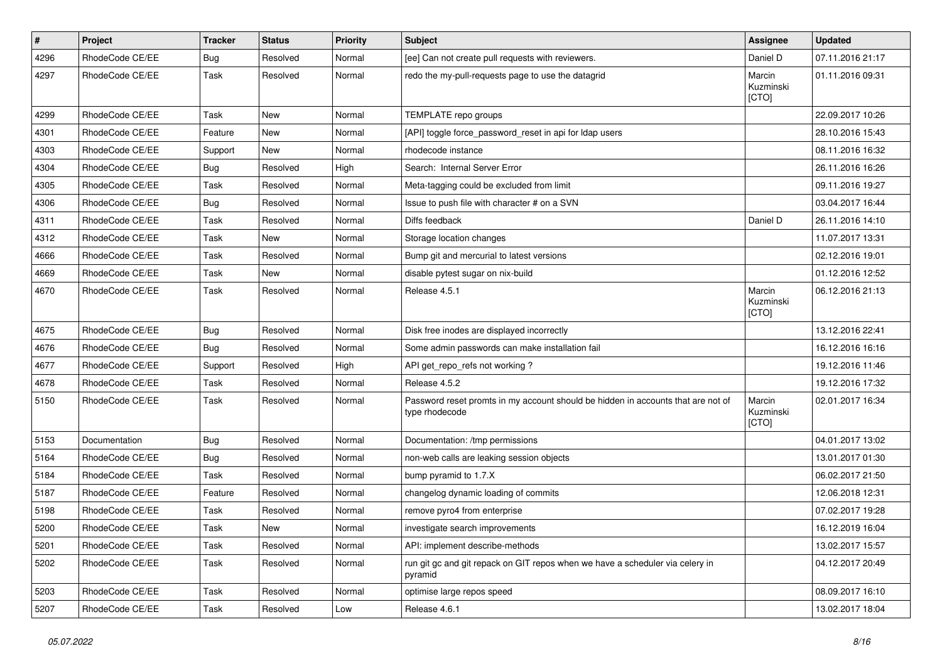| $\pmb{\#}$ | Project         | <b>Tracker</b> | <b>Status</b> | <b>Priority</b> | Subject                                                                                            | Assignee                     | <b>Updated</b>   |
|------------|-----------------|----------------|---------------|-----------------|----------------------------------------------------------------------------------------------------|------------------------------|------------------|
| 4296       | RhodeCode CE/EE | <b>Bug</b>     | Resolved      | Normal          | [ee] Can not create pull requests with reviewers.                                                  | Daniel D                     | 07.11.2016 21:17 |
| 4297       | RhodeCode CE/EE | Task           | Resolved      | Normal          | redo the my-pull-requests page to use the datagrid                                                 | Marcin<br>Kuzminski<br>[CTO] | 01.11.2016 09:31 |
| 4299       | RhodeCode CE/EE | Task           | <b>New</b>    | Normal          | TEMPLATE repo groups                                                                               |                              | 22.09.2017 10:26 |
| 4301       | RhodeCode CE/EE | Feature        | <b>New</b>    | Normal          | [API] toggle force_password_reset in api for Idap users                                            |                              | 28.10.2016 15:43 |
| 4303       | RhodeCode CE/EE | Support        | New           | Normal          | rhodecode instance                                                                                 |                              | 08.11.2016 16:32 |
| 4304       | RhodeCode CE/EE | Bug            | Resolved      | High            | Search: Internal Server Error                                                                      |                              | 26.11.2016 16:26 |
| 4305       | RhodeCode CE/EE | Task           | Resolved      | Normal          | Meta-tagging could be excluded from limit                                                          |                              | 09.11.2016 19:27 |
| 4306       | RhodeCode CE/EE | Bug            | Resolved      | Normal          | Issue to push file with character # on a SVN                                                       |                              | 03.04.2017 16:44 |
| 4311       | RhodeCode CE/EE | Task           | Resolved      | Normal          | Diffs feedback                                                                                     | Daniel D                     | 26.11.2016 14:10 |
| 4312       | RhodeCode CE/EE | Task           | <b>New</b>    | Normal          | Storage location changes                                                                           |                              | 11.07.2017 13:31 |
| 4666       | RhodeCode CE/EE | Task           | Resolved      | Normal          | Bump git and mercurial to latest versions                                                          |                              | 02.12.2016 19:01 |
| 4669       | RhodeCode CE/EE | Task           | <b>New</b>    | Normal          | disable pytest sugar on nix-build                                                                  |                              | 01.12.2016 12:52 |
| 4670       | RhodeCode CE/EE | Task           | Resolved      | Normal          | Release 4.5.1                                                                                      | Marcin<br>Kuzminski<br>[CTO] | 06.12.2016 21:13 |
| 4675       | RhodeCode CE/EE | Bug            | Resolved      | Normal          | Disk free inodes are displayed incorrectly                                                         |                              | 13.12.2016 22:41 |
| 4676       | RhodeCode CE/EE | Bug            | Resolved      | Normal          | Some admin passwords can make installation fail                                                    |                              | 16.12.2016 16:16 |
| 4677       | RhodeCode CE/EE | Support        | Resolved      | High            | API get_repo_refs not working?                                                                     |                              | 19.12.2016 11:46 |
| 4678       | RhodeCode CE/EE | Task           | Resolved      | Normal          | Release 4.5.2                                                                                      |                              | 19.12.2016 17:32 |
| 5150       | RhodeCode CE/EE | Task           | Resolved      | Normal          | Password reset promts in my account should be hidden in accounts that are not of<br>type rhodecode | Marcin<br>Kuzminski<br>[CTO] | 02.01.2017 16:34 |
| 5153       | Documentation   | Bug            | Resolved      | Normal          | Documentation: /tmp permissions                                                                    |                              | 04.01.2017 13:02 |
| 5164       | RhodeCode CE/EE | Bug            | Resolved      | Normal          | non-web calls are leaking session objects                                                          |                              | 13.01.2017 01:30 |
| 5184       | RhodeCode CE/EE | Task           | Resolved      | Normal          | bump pyramid to 1.7.X                                                                              |                              | 06.02.2017 21:50 |
| 5187       | RhodeCode CE/EE | Feature        | Resolved      | Normal          | changelog dynamic loading of commits                                                               |                              | 12.06.2018 12:31 |
| 5198       | RhodeCode CE/EE | Task           | Resolved      | Normal          | remove pyro4 from enterprise                                                                       |                              | 07.02.2017 19:28 |
| 5200       | RhodeCode CE/EE | Task           | New           | Normal          | investigate search improvements                                                                    |                              | 16.12.2019 16:04 |
| 5201       | RhodeCode CE/EE | Task           | Resolved      | Normal          | API: implement describe-methods                                                                    |                              | 13.02.2017 15:57 |
| 5202       | RhodeCode CE/EE | Task           | Resolved      | Normal          | run git gc and git repack on GIT repos when we have a scheduler via celery in<br>pyramid           |                              | 04.12.2017 20:49 |
| 5203       | RhodeCode CE/EE | Task           | Resolved      | Normal          | optimise large repos speed                                                                         |                              | 08.09.2017 16:10 |
| 5207       | RhodeCode CE/EE | Task           | Resolved      | Low             | Release 4.6.1                                                                                      |                              | 13.02.2017 18:04 |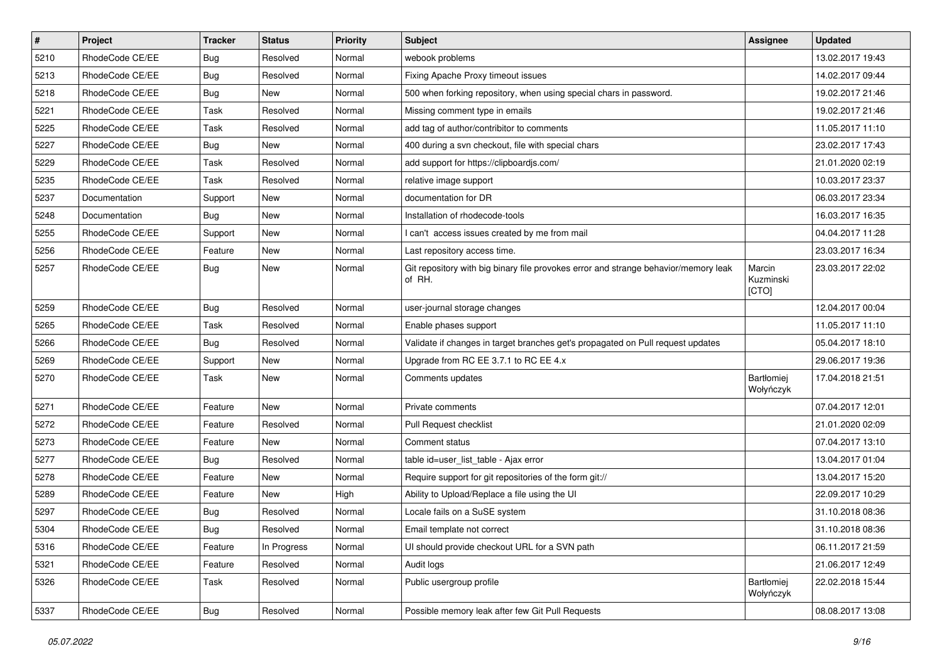| $\pmb{\#}$ | Project         | <b>Tracker</b> | <b>Status</b> | <b>Priority</b> | <b>Subject</b>                                                                                | <b>Assignee</b>              | <b>Updated</b>   |
|------------|-----------------|----------------|---------------|-----------------|-----------------------------------------------------------------------------------------------|------------------------------|------------------|
| 5210       | RhodeCode CE/EE | Bug            | Resolved      | Normal          | webook problems                                                                               |                              | 13.02.2017 19:43 |
| 5213       | RhodeCode CE/EE | Bug            | Resolved      | Normal          | Fixing Apache Proxy timeout issues                                                            |                              | 14.02.2017 09:44 |
| 5218       | RhodeCode CE/EE | Bug            | New           | Normal          | 500 when forking repository, when using special chars in password.                            |                              | 19.02.2017 21:46 |
| 5221       | RhodeCode CE/EE | Task           | Resolved      | Normal          | Missing comment type in emails                                                                |                              | 19.02.2017 21:46 |
| 5225       | RhodeCode CE/EE | <b>Task</b>    | Resolved      | Normal          | add tag of author/contribitor to comments                                                     |                              | 11.05.2017 11:10 |
| 5227       | RhodeCode CE/EE | Bug            | New           | Normal          | 400 during a svn checkout, file with special chars                                            |                              | 23.02.2017 17:43 |
| 5229       | RhodeCode CE/EE | Task           | Resolved      | Normal          | add support for https://clipboardjs.com/                                                      |                              | 21.01.2020 02:19 |
| 5235       | RhodeCode CE/EE | Task           | Resolved      | Normal          | relative image support                                                                        |                              | 10.03.2017 23:37 |
| 5237       | Documentation   | Support        | New           | Normal          | documentation for DR                                                                          |                              | 06.03.2017 23:34 |
| 5248       | Documentation   | Bug            | New           | Normal          | Installation of rhodecode-tools                                                               |                              | 16.03.2017 16:35 |
| 5255       | RhodeCode CE/EE | Support        | <b>New</b>    | Normal          | I can't access issues created by me from mail                                                 |                              | 04.04.2017 11:28 |
| 5256       | RhodeCode CE/EE | Feature        | New           | Normal          | Last repository access time.                                                                  |                              | 23.03.2017 16:34 |
| 5257       | RhodeCode CE/EE | Bug            | New           | Normal          | Git repository with big binary file provokes error and strange behavior/memory leak<br>of RH. | Marcin<br>Kuzminski<br>[CTO] | 23.03.2017 22:02 |
| 5259       | RhodeCode CE/EE | Bug            | Resolved      | Normal          | user-journal storage changes                                                                  |                              | 12.04.2017 00:04 |
| 5265       | RhodeCode CE/EE | Task           | Resolved      | Normal          | Enable phases support                                                                         |                              | 11.05.2017 11:10 |
| 5266       | RhodeCode CE/EE | Bug            | Resolved      | Normal          | Validate if changes in target branches get's propagated on Pull request updates               |                              | 05.04.2017 18:10 |
| 5269       | RhodeCode CE/EE | Support        | New           | Normal          | Upgrade from RC EE 3.7.1 to RC EE 4.x                                                         |                              | 29.06.2017 19:36 |
| 5270       | RhodeCode CE/EE | Task           | New           | Normal          | Comments updates                                                                              | Bartłomiej<br>Wołyńczyk      | 17.04.2018 21:51 |
| 5271       | RhodeCode CE/EE | Feature        | <b>New</b>    | Normal          | Private comments                                                                              |                              | 07.04.2017 12:01 |
| 5272       | RhodeCode CE/EE | Feature        | Resolved      | Normal          | Pull Request checklist                                                                        |                              | 21.01.2020 02:09 |
| 5273       | RhodeCode CE/EE | Feature        | New           | Normal          | Comment status                                                                                |                              | 07.04.2017 13:10 |
| 5277       | RhodeCode CE/EE | Bug            | Resolved      | Normal          | table id=user_list_table - Ajax error                                                         |                              | 13.04.2017 01:04 |
| 5278       | RhodeCode CE/EE | Feature        | <b>New</b>    | Normal          | Require support for git repositories of the form git://                                       |                              | 13.04.2017 15:20 |
| 5289       | RhodeCode CE/EE | Feature        | New           | High            | Ability to Upload/Replace a file using the UI                                                 |                              | 22.09.2017 10:29 |
| 5297       | RhodeCode CE/EE | Bug            | Resolved      | Normal          | Locale fails on a SuSE system                                                                 |                              | 31.10.2018 08:36 |
| 5304       | RhodeCode CE/EE | Bug            | Resolved      | Normal          | Email template not correct                                                                    |                              | 31.10.2018 08:36 |
| 5316       | RhodeCode CE/EE | Feature        | In Progress   | Normal          | UI should provide checkout URL for a SVN path                                                 |                              | 06.11.2017 21:59 |
| 5321       | RhodeCode CE/EE | Feature        | Resolved      | Normal          | Audit logs                                                                                    |                              | 21.06.2017 12:49 |
| 5326       | RhodeCode CE/EE | Task           | Resolved      | Normal          | Public usergroup profile                                                                      | Bartłomiej<br>Wołyńczyk      | 22.02.2018 15:44 |
| 5337       | RhodeCode CE/EE | <b>Bug</b>     | Resolved      | Normal          | Possible memory leak after few Git Pull Requests                                              |                              | 08.08.2017 13:08 |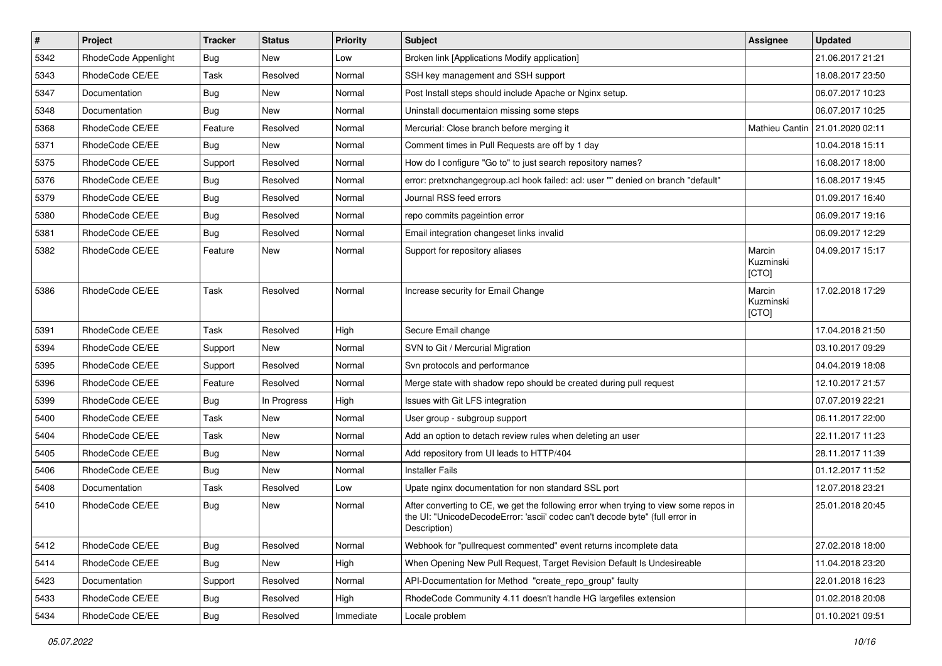| $\pmb{\#}$ | Project              | <b>Tracker</b> | <b>Status</b> | <b>Priority</b> | <b>Subject</b>                                                                                                                                                                       | <b>Assignee</b>              | <b>Updated</b>   |
|------------|----------------------|----------------|---------------|-----------------|--------------------------------------------------------------------------------------------------------------------------------------------------------------------------------------|------------------------------|------------------|
| 5342       | RhodeCode Appenlight | Bug            | New           | Low             | Broken link [Applications Modify application]                                                                                                                                        |                              | 21.06.2017 21:21 |
| 5343       | RhodeCode CE/EE      | Task           | Resolved      | Normal          | SSH key management and SSH support                                                                                                                                                   |                              | 18.08.2017 23:50 |
| 5347       | Documentation        | Bug            | New           | Normal          | Post Install steps should include Apache or Nginx setup.                                                                                                                             |                              | 06.07.2017 10:23 |
| 5348       | Documentation        | Bug            | New           | Normal          | Uninstall documentaion missing some steps                                                                                                                                            |                              | 06.07.2017 10:25 |
| 5368       | RhodeCode CE/EE      | Feature        | Resolved      | Normal          | Mercurial: Close branch before merging it                                                                                                                                            | Mathieu Cantin               | 21.01.2020 02:11 |
| 5371       | RhodeCode CE/EE      | Bug            | New           | Normal          | Comment times in Pull Requests are off by 1 day                                                                                                                                      |                              | 10.04.2018 15:11 |
| 5375       | RhodeCode CE/EE      | Support        | Resolved      | Normal          | How do I configure "Go to" to just search repository names?                                                                                                                          |                              | 16.08.2017 18:00 |
| 5376       | RhodeCode CE/EE      | <b>Bug</b>     | Resolved      | Normal          | error: pretxnchangegroup.acl hook failed: acl: user "" denied on branch "default"                                                                                                    |                              | 16.08.2017 19:45 |
| 5379       | RhodeCode CE/EE      | Bug            | Resolved      | Normal          | Journal RSS feed errors                                                                                                                                                              |                              | 01.09.2017 16:40 |
| 5380       | RhodeCode CE/EE      | Bug            | Resolved      | Normal          | repo commits pageintion error                                                                                                                                                        |                              | 06.09.2017 19:16 |
| 5381       | RhodeCode CE/EE      | Bug            | Resolved      | Normal          | Email integration changeset links invalid                                                                                                                                            |                              | 06.09.2017 12:29 |
| 5382       | RhodeCode CE/EE      | Feature        | New           | Normal          | Support for repository aliases                                                                                                                                                       | Marcin<br>Kuzminski<br>[CTO] | 04.09.2017 15:17 |
| 5386       | RhodeCode CE/EE      | Task           | Resolved      | Normal          | Increase security for Email Change                                                                                                                                                   | Marcin<br>Kuzminski<br>[CTO] | 17.02.2018 17:29 |
| 5391       | RhodeCode CE/EE      | Task           | Resolved      | High            | Secure Email change                                                                                                                                                                  |                              | 17.04.2018 21:50 |
| 5394       | RhodeCode CE/EE      | Support        | New           | Normal          | SVN to Git / Mercurial Migration                                                                                                                                                     |                              | 03.10.2017 09:29 |
| 5395       | RhodeCode CE/EE      | Support        | Resolved      | Normal          | Svn protocols and performance                                                                                                                                                        |                              | 04.04.2019 18:08 |
| 5396       | RhodeCode CE/EE      | Feature        | Resolved      | Normal          | Merge state with shadow repo should be created during pull request                                                                                                                   |                              | 12.10.2017 21:57 |
| 5399       | RhodeCode CE/EE      | Bug            | In Progress   | High            | Issues with Git LFS integration                                                                                                                                                      |                              | 07.07.2019 22:21 |
| 5400       | RhodeCode CE/EE      | Task           | <b>New</b>    | Normal          | User group - subgroup support                                                                                                                                                        |                              | 06.11.2017 22:00 |
| 5404       | RhodeCode CE/EE      | Task           | New           | Normal          | Add an option to detach review rules when deleting an user                                                                                                                           |                              | 22.11.2017 11:23 |
| 5405       | RhodeCode CE/EE      | Bug            | <b>New</b>    | Normal          | Add repository from UI leads to HTTP/404                                                                                                                                             |                              | 28.11.2017 11:39 |
| 5406       | RhodeCode CE/EE      | Bug            | <b>New</b>    | Normal          | <b>Installer Fails</b>                                                                                                                                                               |                              | 01.12.2017 11:52 |
| 5408       | Documentation        | Task           | Resolved      | Low             | Upate nginx documentation for non standard SSL port                                                                                                                                  |                              | 12.07.2018 23:21 |
| 5410       | RhodeCode CE/EE      | Bug            | New           | Normal          | After converting to CE, we get the following error when trying to view some repos in<br>the UI: "UnicodeDecodeError: 'ascii' codec can't decode byte" (full error in<br>Description) |                              | 25.01.2018 20:45 |
| 5412       | RhodeCode CE/EE      | Bug            | Resolved      | Normal          | Webhook for "pullrequest commented" event returns incomplete data                                                                                                                    |                              | 27.02.2018 18:00 |
| 5414       | RhodeCode CE/EE      | <b>Bug</b>     | New           | High            | When Opening New Pull Request, Target Revision Default Is Undesireable                                                                                                               |                              | 11.04.2018 23:20 |
| 5423       | Documentation        | Support        | Resolved      | Normal          | API-Documentation for Method "create_repo_group" faulty                                                                                                                              |                              | 22.01.2018 16:23 |
| 5433       | RhodeCode CE/EE      | Bug            | Resolved      | High            | RhodeCode Community 4.11 doesn't handle HG largefiles extension                                                                                                                      |                              | 01.02.2018 20:08 |
| 5434       | RhodeCode CE/EE      | Bug            | Resolved      | Immediate       | Locale problem                                                                                                                                                                       |                              | 01.10.2021 09:51 |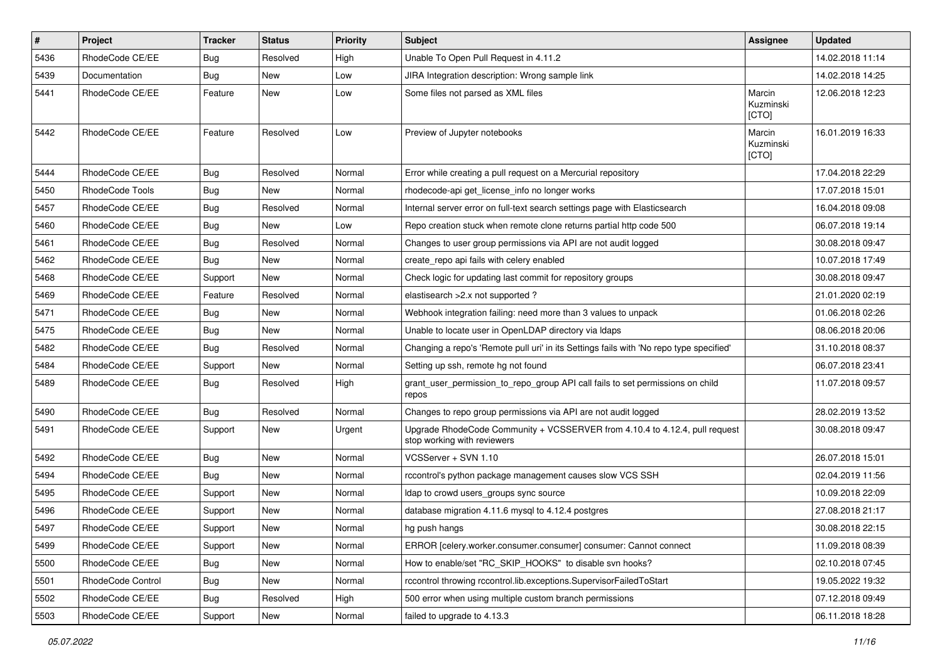| $\pmb{\#}$ | <b>Project</b>    | <b>Tracker</b> | <b>Status</b> | <b>Priority</b> | <b>Subject</b>                                                                                             | Assignee                     | <b>Updated</b>   |
|------------|-------------------|----------------|---------------|-----------------|------------------------------------------------------------------------------------------------------------|------------------------------|------------------|
| 5436       | RhodeCode CE/EE   | <b>Bug</b>     | Resolved      | High            | Unable To Open Pull Request in 4.11.2                                                                      |                              | 14.02.2018 11:14 |
| 5439       | Documentation     | Bug            | <b>New</b>    | Low             | JIRA Integration description: Wrong sample link                                                            |                              | 14.02.2018 14:25 |
| 5441       | RhodeCode CE/EE   | Feature        | New           | Low             | Some files not parsed as XML files                                                                         | Marcin<br>Kuzminski<br>[CTO] | 12.06.2018 12:23 |
| 5442       | RhodeCode CE/EE   | Feature        | Resolved      | Low             | Preview of Jupyter notebooks                                                                               | Marcin<br>Kuzminski<br>[CTO] | 16.01.2019 16:33 |
| 5444       | RhodeCode CE/EE   | Bug            | Resolved      | Normal          | Error while creating a pull request on a Mercurial repository                                              |                              | 17.04.2018 22:29 |
| 5450       | RhodeCode Tools   | <b>Bug</b>     | New           | Normal          | rhodecode-api get license info no longer works                                                             |                              | 17.07.2018 15:01 |
| 5457       | RhodeCode CE/EE   | Bug            | Resolved      | Normal          | Internal server error on full-text search settings page with Elasticsearch                                 |                              | 16.04.2018 09:08 |
| 5460       | RhodeCode CE/EE   | Bug            | New           | Low             | Repo creation stuck when remote clone returns partial http code 500                                        |                              | 06.07.2018 19:14 |
| 5461       | RhodeCode CE/EE   | Bug            | Resolved      | Normal          | Changes to user group permissions via API are not audit logged                                             |                              | 30.08.2018 09:47 |
| 5462       | RhodeCode CE/EE   | Bug            | New           | Normal          | create_repo api fails with celery enabled                                                                  |                              | 10.07.2018 17:49 |
| 5468       | RhodeCode CE/EE   | Support        | New           | Normal          | Check logic for updating last commit for repository groups                                                 |                              | 30.08.2018 09:47 |
| 5469       | RhodeCode CE/EE   | Feature        | Resolved      | Normal          | elastisearch > 2.x not supported?                                                                          |                              | 21.01.2020 02:19 |
| 5471       | RhodeCode CE/EE   | <b>Bug</b>     | New           | Normal          | Webhook integration failing: need more than 3 values to unpack                                             |                              | 01.06.2018 02:26 |
| 5475       | RhodeCode CE/EE   | Bug            | <b>New</b>    | Normal          | Unable to locate user in OpenLDAP directory via Idaps                                                      |                              | 08.06.2018 20:06 |
| 5482       | RhodeCode CE/EE   | Bug            | Resolved      | Normal          | Changing a repo's 'Remote pull uri' in its Settings fails with 'No repo type specified'                    |                              | 31.10.2018 08:37 |
| 5484       | RhodeCode CE/EE   | Support        | <b>New</b>    | Normal          | Setting up ssh, remote hg not found                                                                        |                              | 06.07.2018 23:41 |
| 5489       | RhodeCode CE/EE   | Bug            | Resolved      | High            | grant user permission to repo group API call fails to set permissions on child<br>repos                    |                              | 11.07.2018 09:57 |
| 5490       | RhodeCode CE/EE   | Bug            | Resolved      | Normal          | Changes to repo group permissions via API are not audit logged                                             |                              | 28.02.2019 13:52 |
| 5491       | RhodeCode CE/EE   | Support        | <b>New</b>    | Urgent          | Upgrade RhodeCode Community + VCSSERVER from 4.10.4 to 4.12.4, pull request<br>stop working with reviewers |                              | 30.08.2018 09:47 |
| 5492       | RhodeCode CE/EE   | Bug            | <b>New</b>    | Normal          | VCSServer + SVN 1.10                                                                                       |                              | 26.07.2018 15:01 |
| 5494       | RhodeCode CE/EE   | <b>Bug</b>     | New           | Normal          | rccontrol's python package management causes slow VCS SSH                                                  |                              | 02.04.2019 11:56 |
| 5495       | RhodeCode CE/EE   | Support        | New           | Normal          | Idap to crowd users_groups sync source                                                                     |                              | 10.09.2018 22:09 |
| 5496       | RhodeCode CE/EE   | Support        | <b>New</b>    | Normal          | database migration 4.11.6 mysql to 4.12.4 postgres                                                         |                              | 27.08.2018 21:17 |
| 5497       | RhodeCode CE/EE   | Support        | New           | Normal          | hg push hangs                                                                                              |                              | 30.08.2018 22:15 |
| 5499       | RhodeCode CE/EE   | Support        | New           | Normal          | ERROR [celery.worker.consumer.consumer] consumer: Cannot connect                                           |                              | 11.09.2018 08:39 |
| 5500       | RhodeCode CE/EE   | <b>Bug</b>     | New           | Normal          | How to enable/set "RC_SKIP_HOOKS" to disable svn hooks?                                                    |                              | 02.10.2018 07:45 |
| 5501       | RhodeCode Control | Bug            | New           | Normal          | rccontrol throwing rccontrol.lib.exceptions.SupervisorFailedToStart                                        |                              | 19.05.2022 19:32 |
| 5502       | RhodeCode CE/EE   | Bug            | Resolved      | High            | 500 error when using multiple custom branch permissions                                                    |                              | 07.12.2018 09:49 |
| 5503       | RhodeCode CE/EE   | Support        | New           | Normal          | failed to upgrade to 4.13.3                                                                                |                              | 06.11.2018 18:28 |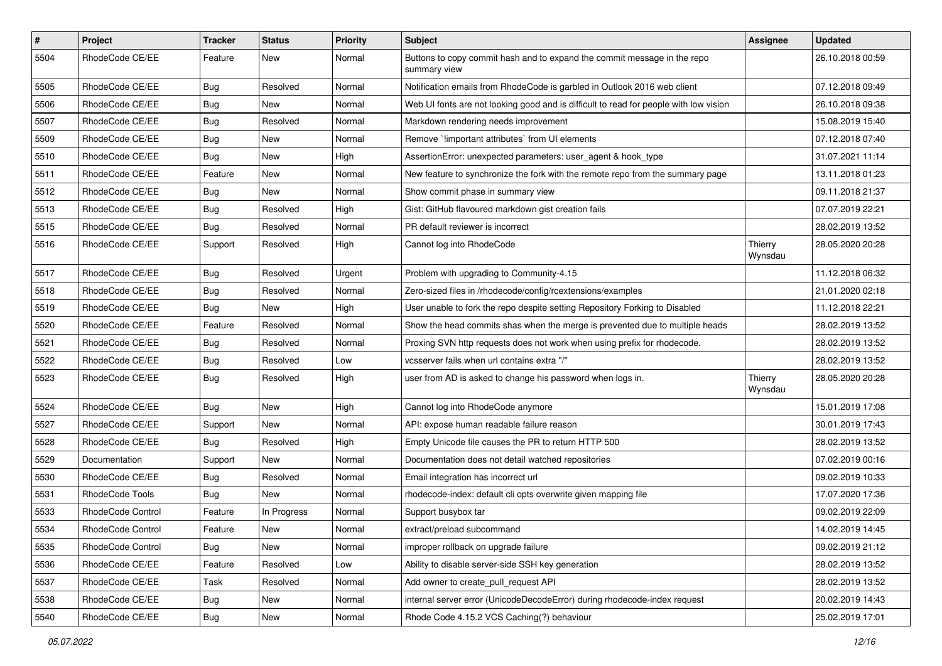| $\pmb{\#}$ | Project           | <b>Tracker</b> | <b>Status</b> | Priority | <b>Subject</b>                                                                           | <b>Assignee</b>    | <b>Updated</b>   |
|------------|-------------------|----------------|---------------|----------|------------------------------------------------------------------------------------------|--------------------|------------------|
| 5504       | RhodeCode CE/EE   | Feature        | New           | Normal   | Buttons to copy commit hash and to expand the commit message in the repo<br>summary view |                    | 26.10.2018 00:59 |
| 5505       | RhodeCode CE/EE   | Bug            | Resolved      | Normal   | Notification emails from RhodeCode is garbled in Outlook 2016 web client                 |                    | 07.12.2018 09:49 |
| 5506       | RhodeCode CE/EE   | Bug            | New           | Normal   | Web UI fonts are not looking good and is difficult to read for people with low vision    |                    | 26.10.2018 09:38 |
| 5507       | RhodeCode CE/EE   | Bug            | Resolved      | Normal   | Markdown rendering needs improvement                                                     |                    | 15.08.2019 15:40 |
| 5509       | RhodeCode CE/EE   | Bug            | New           | Normal   | Remove `!important attributes` from UI elements                                          |                    | 07.12.2018 07:40 |
| 5510       | RhodeCode CE/EE   | Bug            | New           | High     | AssertionError: unexpected parameters: user_agent & hook_type                            |                    | 31.07.2021 11:14 |
| 5511       | RhodeCode CE/EE   | Feature        | New           | Normal   | New feature to synchronize the fork with the remote repo from the summary page           |                    | 13.11.2018 01:23 |
| 5512       | RhodeCode CE/EE   | Bug            | New           | Normal   | Show commit phase in summary view                                                        |                    | 09.11.2018 21:37 |
| 5513       | RhodeCode CE/EE   | <b>Bug</b>     | Resolved      | High     | Gist: GitHub flavoured markdown gist creation fails                                      |                    | 07.07.2019 22:21 |
| 5515       | RhodeCode CE/EE   | Bug            | Resolved      | Normal   | PR default reviewer is incorrect                                                         |                    | 28.02.2019 13:52 |
| 5516       | RhodeCode CE/EE   | Support        | Resolved      | High     | Cannot log into RhodeCode                                                                | Thierry<br>Wynsdau | 28.05.2020 20:28 |
| 5517       | RhodeCode CE/EE   | Bug            | Resolved      | Urgent   | Problem with upgrading to Community-4.15                                                 |                    | 11.12.2018 06:32 |
| 5518       | RhodeCode CE/EE   | Bug            | Resolved      | Normal   | Zero-sized files in /rhodecode/config/rcextensions/examples                              |                    | 21.01.2020 02:18 |
| 5519       | RhodeCode CE/EE   | Bug            | New           | High     | User unable to fork the repo despite setting Repository Forking to Disabled              |                    | 11.12.2018 22:21 |
| 5520       | RhodeCode CE/EE   | Feature        | Resolved      | Normal   | Show the head commits shas when the merge is prevented due to multiple heads             |                    | 28.02.2019 13:52 |
| 5521       | RhodeCode CE/EE   | Bug            | Resolved      | Normal   | Proxing SVN http requests does not work when using prefix for rhodecode.                 |                    | 28.02.2019 13:52 |
| 5522       | RhodeCode CE/EE   | Bug            | Resolved      | Low      | vcsserver fails when url contains extra "/"                                              |                    | 28.02.2019 13:52 |
| 5523       | RhodeCode CE/EE   | Bug            | Resolved      | High     | user from AD is asked to change his password when logs in.                               | Thierry<br>Wynsdau | 28.05.2020 20:28 |
| 5524       | RhodeCode CE/EE   | Bug            | New           | High     | Cannot log into RhodeCode anymore                                                        |                    | 15.01.2019 17:08 |
| 5527       | RhodeCode CE/EE   | Support        | <b>New</b>    | Normal   | API: expose human readable failure reason                                                |                    | 30.01.2019 17:43 |
| 5528       | RhodeCode CE/EE   | Bug            | Resolved      | High     | Empty Unicode file causes the PR to return HTTP 500                                      |                    | 28.02.2019 13:52 |
| 5529       | Documentation     | Support        | <b>New</b>    | Normal   | Documentation does not detail watched repositories                                       |                    | 07.02.2019 00:16 |
| 5530       | RhodeCode CE/EE   | Bug            | Resolved      | Normal   | Email integration has incorrect url                                                      |                    | 09.02.2019 10:33 |
| 5531       | RhodeCode Tools   | Bug            | <b>New</b>    | Normal   | rhodecode-index: default cli opts overwrite given mapping file                           |                    | 17.07.2020 17:36 |
| 5533       | RhodeCode Control | Feature        | In Progress   | Normal   | Support busybox tar                                                                      |                    | 09.02.2019 22:09 |
| 5534       | RhodeCode Control | Feature        | New           | Normal   | extract/preload subcommand                                                               |                    | 14.02.2019 14:45 |
| 5535       | RhodeCode Control | Bug            | New           | Normal   | improper rollback on upgrade failure                                                     |                    | 09.02.2019 21:12 |
| 5536       | RhodeCode CE/EE   | Feature        | Resolved      | Low      | Ability to disable server-side SSH key generation                                        |                    | 28.02.2019 13:52 |
| 5537       | RhodeCode CE/EE   | Task           | Resolved      | Normal   | Add owner to create_pull_request API                                                     |                    | 28.02.2019 13:52 |
| 5538       | RhodeCode CE/EE   | Bug            | New           | Normal   | internal server error (UnicodeDecodeError) during rhodecode-index request                |                    | 20.02.2019 14:43 |
| 5540       | RhodeCode CE/EE   | Bug            | New           | Normal   | Rhode Code 4.15.2 VCS Caching(?) behaviour                                               |                    | 25.02.2019 17:01 |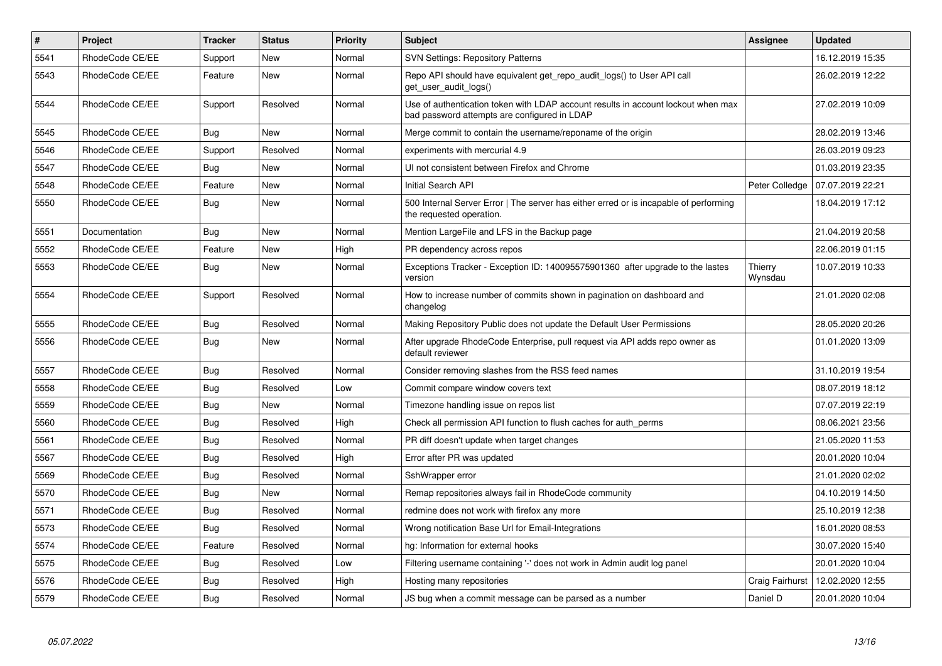| $\vert$ # | <b>Project</b>  | Tracker    | <b>Status</b> | <b>Priority</b> | <b>Subject</b>                                                                                                                    | <b>Assignee</b>    | <b>Updated</b>   |
|-----------|-----------------|------------|---------------|-----------------|-----------------------------------------------------------------------------------------------------------------------------------|--------------------|------------------|
| 5541      | RhodeCode CE/EE | Support    | <b>New</b>    | Normal          | <b>SVN Settings: Repository Patterns</b>                                                                                          |                    | 16.12.2019 15:35 |
| 5543      | RhodeCode CE/EE | Feature    | <b>New</b>    | Normal          | Repo API should have equivalent get repo audit logs() to User API call<br>get user audit logs()                                   |                    | 26.02.2019 12:22 |
| 5544      | RhodeCode CE/EE | Support    | Resolved      | Normal          | Use of authentication token with LDAP account results in account lockout when max<br>bad password attempts are configured in LDAP |                    | 27.02.2019 10:09 |
| 5545      | RhodeCode CE/EE | Bug        | New           | Normal          | Merge commit to contain the username/reponame of the origin                                                                       |                    | 28.02.2019 13:46 |
| 5546      | RhodeCode CE/EE | Support    | Resolved      | Normal          | experiments with mercurial 4.9                                                                                                    |                    | 26.03.2019 09:23 |
| 5547      | RhodeCode CE/EE | Bug        | New           | Normal          | UI not consistent between Firefox and Chrome                                                                                      |                    | 01.03.2019 23:35 |
| 5548      | RhodeCode CE/EE | Feature    | <b>New</b>    | Normal          | Initial Search API                                                                                                                | Peter Colledge     | 07.07.2019 22:21 |
| 5550      | RhodeCode CE/EE | <b>Bug</b> | <b>New</b>    | Normal          | 500 Internal Server Error   The server has either erred or is incapable of performing<br>the requested operation.                 |                    | 18.04.2019 17:12 |
| 5551      | Documentation   | Bug        | New           | Normal          | Mention LargeFile and LFS in the Backup page                                                                                      |                    | 21.04.2019 20:58 |
| 5552      | RhodeCode CE/EE | Feature    | <b>New</b>    | High            | PR dependency across repos                                                                                                        |                    | 22.06.2019 01:15 |
| 5553      | RhodeCode CE/EE | Bug        | <b>New</b>    | Normal          | Exceptions Tracker - Exception ID: 140095575901360 after upgrade to the lastes<br>version                                         | Thierry<br>Wynsdau | 10.07.2019 10:33 |
| 5554      | RhodeCode CE/EE | Support    | Resolved      | Normal          | How to increase number of commits shown in pagination on dashboard and<br>changelog                                               |                    | 21.01.2020 02:08 |
| 5555      | RhodeCode CE/EE | Bug        | Resolved      | Normal          | Making Repository Public does not update the Default User Permissions                                                             |                    | 28.05.2020 20:26 |
| 5556      | RhodeCode CE/EE | Bug        | <b>New</b>    | Normal          | After upgrade RhodeCode Enterprise, pull request via API adds repo owner as<br>default reviewer                                   |                    | 01.01.2020 13:09 |
| 5557      | RhodeCode CE/EE | Bug        | Resolved      | Normal          | Consider removing slashes from the RSS feed names                                                                                 |                    | 31.10.2019 19:54 |
| 5558      | RhodeCode CE/EE | Bug        | Resolved      | Low             | Commit compare window covers text                                                                                                 |                    | 08.07.2019 18:12 |
| 5559      | RhodeCode CE/EE | Bug        | <b>New</b>    | Normal          | Timezone handling issue on repos list                                                                                             |                    | 07.07.2019 22:19 |
| 5560      | RhodeCode CE/EE | <b>Bug</b> | Resolved      | High            | Check all permission API function to flush caches for auth perms                                                                  |                    | 08.06.2021 23:56 |
| 5561      | RhodeCode CE/EE | Bug        | Resolved      | Normal          | PR diff doesn't update when target changes                                                                                        |                    | 21.05.2020 11:53 |
| 5567      | RhodeCode CE/EE | Bug        | Resolved      | High            | Error after PR was updated                                                                                                        |                    | 20.01.2020 10:04 |
| 5569      | RhodeCode CE/EE | Bug        | Resolved      | Normal          | SshWrapper error                                                                                                                  |                    | 21.01.2020 02:02 |
| 5570      | RhodeCode CE/EE | <b>Bug</b> | New           | Normal          | Remap repositories always fail in RhodeCode community                                                                             |                    | 04.10.2019 14:50 |
| 5571      | RhodeCode CE/EE | Bug        | Resolved      | Normal          | redmine does not work with firefox any more                                                                                       |                    | 25.10.2019 12:38 |
| 5573      | RhodeCode CE/EE | Bug        | Resolved      | Normal          | Wrong notification Base Url for Email-Integrations                                                                                |                    | 16.01.2020 08:53 |
| 5574      | RhodeCode CE/EE | Feature    | Resolved      | Normal          | hg: Information for external hooks                                                                                                |                    | 30.07.2020 15:40 |
| 5575      | RhodeCode CE/EE | <b>Bug</b> | Resolved      | Low             | Filtering username containing '-' does not work in Admin audit log panel                                                          |                    | 20.01.2020 10:04 |
| 5576      | RhodeCode CE/EE | Bug        | Resolved      | High            | Hosting many repositories                                                                                                         | Craig Fairhurst    | 12.02.2020 12:55 |
| 5579      | RhodeCode CE/EE | <b>Bug</b> | Resolved      | Normal          | JS bug when a commit message can be parsed as a number                                                                            | Daniel D           | 20.01.2020 10:04 |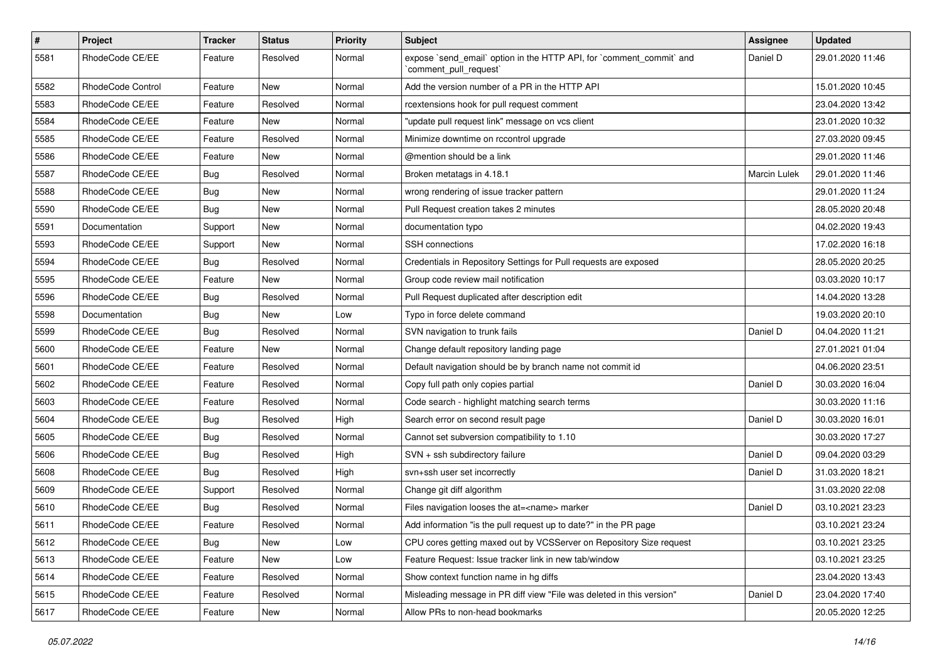| $\pmb{\#}$ | Project           | <b>Tracker</b> | <b>Status</b> | <b>Priority</b> | Subject                                                                                        | <b>Assignee</b> | <b>Updated</b>   |
|------------|-------------------|----------------|---------------|-----------------|------------------------------------------------------------------------------------------------|-----------------|------------------|
| 5581       | RhodeCode CE/EE   | Feature        | Resolved      | Normal          | expose `send email` option in the HTTP API, for `comment commit` and<br>`comment_pull_request` | Daniel D        | 29.01.2020 11:46 |
| 5582       | RhodeCode Control | Feature        | New           | Normal          | Add the version number of a PR in the HTTP API                                                 |                 | 15.01.2020 10:45 |
| 5583       | RhodeCode CE/EE   | Feature        | Resolved      | Normal          | rcextensions hook for pull request comment                                                     |                 | 23.04.2020 13:42 |
| 5584       | RhodeCode CE/EE   | Feature        | <b>New</b>    | Normal          | "update pull request link" message on vcs client                                               |                 | 23.01.2020 10:32 |
| 5585       | RhodeCode CE/EE   | Feature        | Resolved      | Normal          | Minimize downtime on rccontrol upgrade                                                         |                 | 27.03.2020 09:45 |
| 5586       | RhodeCode CE/EE   | Feature        | <b>New</b>    | Normal          | @mention should be a link                                                                      |                 | 29.01.2020 11:46 |
| 5587       | RhodeCode CE/EE   | Bug            | Resolved      | Normal          | Broken metatags in 4.18.1                                                                      | Marcin Lulek    | 29.01.2020 11:46 |
| 5588       | RhodeCode CE/EE   | <b>Bug</b>     | New           | Normal          | wrong rendering of issue tracker pattern                                                       |                 | 29.01.2020 11:24 |
| 5590       | RhodeCode CE/EE   | Bug            | New           | Normal          | Pull Request creation takes 2 minutes                                                          |                 | 28.05.2020 20:48 |
| 5591       | Documentation     | Support        | New           | Normal          | documentation typo                                                                             |                 | 04.02.2020 19:43 |
| 5593       | RhodeCode CE/EE   | Support        | New           | Normal          | SSH connections                                                                                |                 | 17.02.2020 16:18 |
| 5594       | RhodeCode CE/EE   | <b>Bug</b>     | Resolved      | Normal          | Credentials in Repository Settings for Pull requests are exposed                               |                 | 28.05.2020 20:25 |
| 5595       | RhodeCode CE/EE   | Feature        | <b>New</b>    | Normal          | Group code review mail notification                                                            |                 | 03.03.2020 10:17 |
| 5596       | RhodeCode CE/EE   | Bug            | Resolved      | Normal          | Pull Request duplicated after description edit                                                 |                 | 14.04.2020 13:28 |
| 5598       | Documentation     | Bug            | New           | Low             | Typo in force delete command                                                                   |                 | 19.03.2020 20:10 |
| 5599       | RhodeCode CE/EE   | Bug            | Resolved      | Normal          | SVN navigation to trunk fails                                                                  | Daniel D        | 04.04.2020 11:21 |
| 5600       | RhodeCode CE/EE   | Feature        | New           | Normal          | Change default repository landing page                                                         |                 | 27.01.2021 01:04 |
| 5601       | RhodeCode CE/EE   | Feature        | Resolved      | Normal          | Default navigation should be by branch name not commit id                                      |                 | 04.06.2020 23:51 |
| 5602       | RhodeCode CE/EE   | Feature        | Resolved      | Normal          | Copy full path only copies partial                                                             | Daniel D        | 30.03.2020 16:04 |
| 5603       | RhodeCode CE/EE   | Feature        | Resolved      | Normal          | Code search - highlight matching search terms                                                  |                 | 30.03.2020 11:16 |
| 5604       | RhodeCode CE/EE   | <b>Bug</b>     | Resolved      | High            | Search error on second result page                                                             | Daniel D        | 30.03.2020 16:01 |
| 5605       | RhodeCode CE/EE   | Bug            | Resolved      | Normal          | Cannot set subversion compatibility to 1.10                                                    |                 | 30.03.2020 17:27 |
| 5606       | RhodeCode CE/EE   | <b>Bug</b>     | Resolved      | High            | SVN + ssh subdirectory failure                                                                 | Daniel D        | 09.04.2020 03:29 |
| 5608       | RhodeCode CE/EE   | Bug            | Resolved      | High            | svn+ssh user set incorrectly                                                                   | Daniel D        | 31.03.2020 18:21 |
| 5609       | RhodeCode CE/EE   | Support        | Resolved      | Normal          | Change git diff algorithm                                                                      |                 | 31.03.2020 22:08 |
| 5610       | RhodeCode CE/EE   | <b>Bug</b>     | Resolved      | Normal          | Files navigation looses the at= <name> marker</name>                                           | Daniel D        | 03.10.2021 23:23 |
| 5611       | RhodeCode CE/EE   | Feature        | Resolved      | Normal          | Add information "is the pull request up to date?" in the PR page                               |                 | 03.10.2021 23:24 |
| 5612       | RhodeCode CE/EE   | <b>Bug</b>     | New           | Low             | CPU cores getting maxed out by VCSServer on Repository Size request                            |                 | 03.10.2021 23:25 |
| 5613       | RhodeCode CE/EE   | Feature        | New           | Low             | Feature Request: Issue tracker link in new tab/window                                          |                 | 03.10.2021 23:25 |
| 5614       | RhodeCode CE/EE   | Feature        | Resolved      | Normal          | Show context function name in hg diffs                                                         |                 | 23.04.2020 13:43 |
| 5615       | RhodeCode CE/EE   | Feature        | Resolved      | Normal          | Misleading message in PR diff view "File was deleted in this version"                          | Daniel D        | 23.04.2020 17:40 |
| 5617       | RhodeCode CE/EE   | Feature        | New           | Normal          | Allow PRs to non-head bookmarks                                                                |                 | 20.05.2020 12:25 |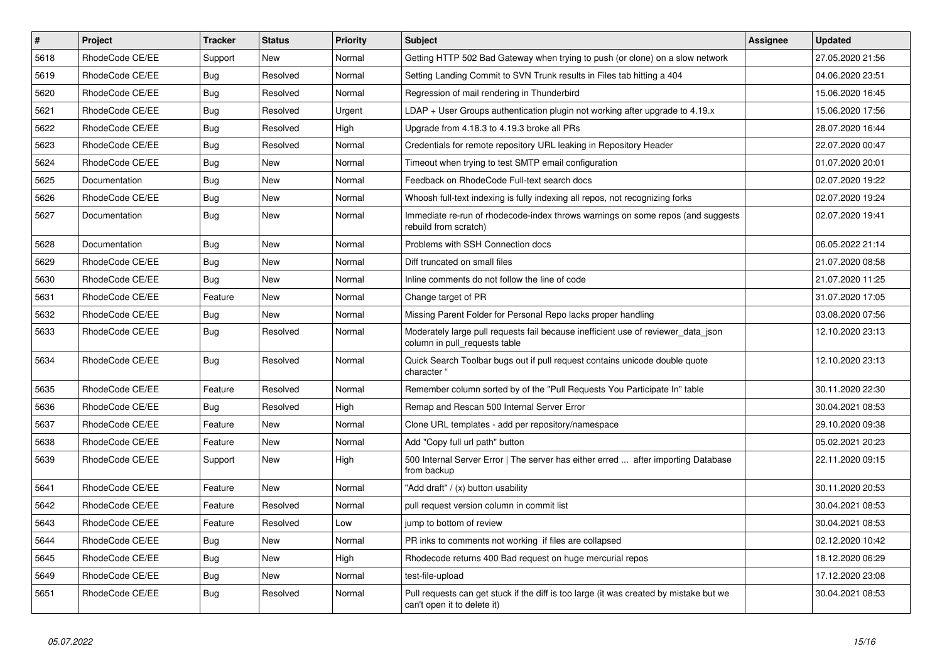| $\vert$ # | Project         | <b>Tracker</b> | <b>Status</b> | <b>Priority</b> | <b>Subject</b>                                                                                                        | Assignee | <b>Updated</b>   |
|-----------|-----------------|----------------|---------------|-----------------|-----------------------------------------------------------------------------------------------------------------------|----------|------------------|
| 5618      | RhodeCode CE/EE | Support        | <b>New</b>    | Normal          | Getting HTTP 502 Bad Gateway when trying to push (or clone) on a slow network                                         |          | 27.05.2020 21:56 |
| 5619      | RhodeCode CE/EE | Bug            | Resolved      | Normal          | Setting Landing Commit to SVN Trunk results in Files tab hitting a 404                                                |          | 04.06.2020 23:51 |
| 5620      | RhodeCode CE/EE | Bug            | Resolved      | Normal          | Regression of mail rendering in Thunderbird                                                                           |          | 15.06.2020 16:45 |
| 5621      | RhodeCode CE/EE | <b>Bug</b>     | Resolved      | Urgent          | $LDAP + User Groups$ authentication plugin not working after upgrade to 4.19. $x$                                     |          | 15.06.2020 17:56 |
| 5622      | RhodeCode CE/EE | Bug            | Resolved      | High            | Upgrade from 4.18.3 to 4.19.3 broke all PRs                                                                           |          | 28.07.2020 16:44 |
| 5623      | RhodeCode CE/EE | <b>Bug</b>     | Resolved      | Normal          | Credentials for remote repository URL leaking in Repository Header                                                    |          | 22.07.2020 00:47 |
| 5624      | RhodeCode CE/EE | Bug            | New           | Normal          | Timeout when trying to test SMTP email configuration                                                                  |          | 01.07.2020 20:01 |
| 5625      | Documentation   | <b>Bug</b>     | New           | Normal          | Feedback on RhodeCode Full-text search docs                                                                           |          | 02.07.2020 19:22 |
| 5626      | RhodeCode CE/EE | Bug            | <b>New</b>    | Normal          | Whoosh full-text indexing is fully indexing all repos, not recognizing forks                                          |          | 02.07.2020 19:24 |
| 5627      | Documentation   | Bug            | New           | Normal          | Immediate re-run of rhodecode-index throws warnings on some repos (and suggests<br>rebuild from scratch)              |          | 02.07.2020 19:41 |
| 5628      | Documentation   | Bug            | New           | Normal          | Problems with SSH Connection docs                                                                                     |          | 06.05.2022 21:14 |
| 5629      | RhodeCode CE/EE | <b>Bug</b>     | <b>New</b>    | Normal          | Diff truncated on small files                                                                                         |          | 21.07.2020 08:58 |
| 5630      | RhodeCode CE/EE | Bug            | New           | Normal          | Inline comments do not follow the line of code                                                                        |          | 21.07.2020 11:25 |
| 5631      | RhodeCode CE/EE | Feature        | New           | Normal          | Change target of PR                                                                                                   |          | 31.07.2020 17:05 |
| 5632      | RhodeCode CE/EE | <b>Bug</b>     | <b>New</b>    | Normal          | Missing Parent Folder for Personal Repo lacks proper handling                                                         |          | 03.08.2020 07:56 |
| 5633      | RhodeCode CE/EE | Bug            | Resolved      | Normal          | Moderately large pull requests fail because inefficient use of reviewer_data_json<br>column in pull requests table    |          | 12.10.2020 23:13 |
| 5634      | RhodeCode CE/EE | Bug            | Resolved      | Normal          | Quick Search Toolbar bugs out if pull request contains unicode double quote<br>character                              |          | 12.10.2020 23:13 |
| 5635      | RhodeCode CE/EE | Feature        | Resolved      | Normal          | Remember column sorted by of the "Pull Requests You Participate In" table                                             |          | 30.11.2020 22:30 |
| 5636      | RhodeCode CE/EE | Bug            | Resolved      | High            | Remap and Rescan 500 Internal Server Error                                                                            |          | 30.04.2021 08:53 |
| 5637      | RhodeCode CE/EE | Feature        | <b>New</b>    | Normal          | Clone URL templates - add per repository/namespace                                                                    |          | 29.10.2020 09:38 |
| 5638      | RhodeCode CE/EE | Feature        | New           | Normal          | Add "Copy full url path" button                                                                                       |          | 05.02.2021 20:23 |
| 5639      | RhodeCode CE/EE | Support        | New           | High            | 500 Internal Server Error   The server has either erred  after importing Database<br>from backup                      |          | 22.11.2020 09:15 |
| 5641      | RhodeCode CE/EE | Feature        | New           | Normal          | "Add draft" / (x) button usability                                                                                    |          | 30.11.2020 20:53 |
| 5642      | RhodeCode CE/EE | Feature        | Resolved      | Normal          | pull request version column in commit list                                                                            |          | 30.04.2021 08:53 |
| 5643      | RhodeCode CE/EE | Feature        | Resolved      | Low             | jump to bottom of review                                                                                              |          | 30.04.2021 08:53 |
| 5644      | RhodeCode CE/EE | Bug            | New           | Normal          | PR inks to comments not working if files are collapsed                                                                |          | 02.12.2020 10:42 |
| 5645      | RhodeCode CE/EE | Bug            | New           | High            | Rhodecode returns 400 Bad request on huge mercurial repos                                                             |          | 18.12.2020 06:29 |
| 5649      | RhodeCode CE/EE | Bug            | New           | Normal          | test-file-upload                                                                                                      |          | 17.12.2020 23:08 |
| 5651      | RhodeCode CE/EE | Bug            | Resolved      | Normal          | Pull requests can get stuck if the diff is too large (it was created by mistake but we<br>can't open it to delete it) |          | 30.04.2021 08:53 |